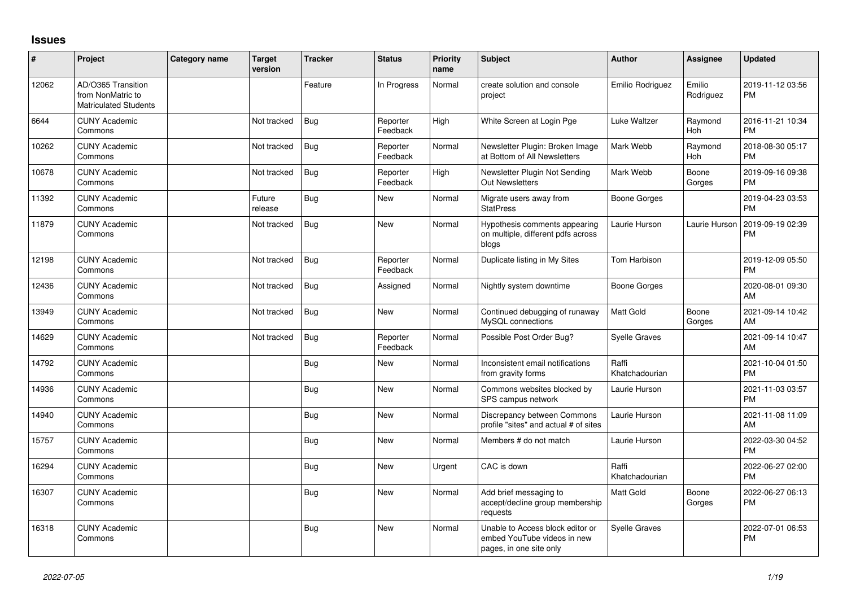## **Issues**

| #     | Project                                                                 | Category name | <b>Target</b><br>version | <b>Tracker</b> | <b>Status</b>        | Priority<br>name | <b>Subject</b>                                                                             | <b>Author</b>           | <b>Assignee</b>     | <b>Updated</b>                |
|-------|-------------------------------------------------------------------------|---------------|--------------------------|----------------|----------------------|------------------|--------------------------------------------------------------------------------------------|-------------------------|---------------------|-------------------------------|
| 12062 | AD/O365 Transition<br>from NonMatric to<br><b>Matriculated Students</b> |               |                          | Feature        | In Progress          | Normal           | create solution and console<br>project                                                     | Emilio Rodriguez        | Emilio<br>Rodriguez | 2019-11-12 03:56<br><b>PM</b> |
| 6644  | <b>CUNY Academic</b><br>Commons                                         |               | Not tracked              | Bug            | Reporter<br>Feedback | High             | White Screen at Login Pge                                                                  | Luke Waltzer            | Raymond<br>Hoh      | 2016-11-21 10:34<br><b>PM</b> |
| 10262 | <b>CUNY Academic</b><br>Commons                                         |               | Not tracked              | Bug            | Reporter<br>Feedback | Normal           | Newsletter Plugin: Broken Image<br>at Bottom of All Newsletters                            | Mark Webb               | Raymond<br>Hoh      | 2018-08-30 05:17<br><b>PM</b> |
| 10678 | <b>CUNY Academic</b><br>Commons                                         |               | Not tracked              | Bug            | Reporter<br>Feedback | High             | Newsletter Plugin Not Sending<br><b>Out Newsletters</b>                                    | Mark Webb               | Boone<br>Gorges     | 2019-09-16 09:38<br><b>PM</b> |
| 11392 | <b>CUNY Academic</b><br>Commons                                         |               | Future<br>release        | Bug            | <b>New</b>           | Normal           | Migrate users away from<br><b>StatPress</b>                                                | <b>Boone Gorges</b>     |                     | 2019-04-23 03:53<br><b>PM</b> |
| 11879 | <b>CUNY Academic</b><br>Commons                                         |               | Not tracked              | Bug            | <b>New</b>           | Normal           | Hypothesis comments appearing<br>on multiple, different pdfs across<br>blogs               | Laurie Hurson           | Laurie Hurson       | 2019-09-19 02:39<br><b>PM</b> |
| 12198 | <b>CUNY Academic</b><br>Commons                                         |               | Not tracked              | Bug            | Reporter<br>Feedback | Normal           | Duplicate listing in My Sites                                                              | <b>Tom Harbison</b>     |                     | 2019-12-09 05:50<br><b>PM</b> |
| 12436 | <b>CUNY Academic</b><br>Commons                                         |               | Not tracked              | Bug            | Assigned             | Normal           | Nightly system downtime                                                                    | <b>Boone Gorges</b>     |                     | 2020-08-01 09:30<br>AM        |
| 13949 | <b>CUNY Academic</b><br>Commons                                         |               | Not tracked              | Bug            | <b>New</b>           | Normal           | Continued debugging of runaway<br>MySQL connections                                        | <b>Matt Gold</b>        | Boone<br>Gorges     | 2021-09-14 10:42<br>AM        |
| 14629 | <b>CUNY Academic</b><br>Commons                                         |               | Not tracked              | Bug            | Reporter<br>Feedback | Normal           | Possible Post Order Bug?                                                                   | <b>Syelle Graves</b>    |                     | 2021-09-14 10:47<br>AM        |
| 14792 | <b>CUNY Academic</b><br>Commons                                         |               |                          | Bug            | <b>New</b>           | Normal           | Inconsistent email notifications<br>from gravity forms                                     | Raffi<br>Khatchadourian |                     | 2021-10-04 01:50<br><b>PM</b> |
| 14936 | <b>CUNY Academic</b><br>Commons                                         |               |                          | Bug            | <b>New</b>           | Normal           | Commons websites blocked by<br>SPS campus network                                          | Laurie Hurson           |                     | 2021-11-03 03:57<br><b>PM</b> |
| 14940 | <b>CUNY Academic</b><br>Commons                                         |               |                          | Bug            | <b>New</b>           | Normal           | Discrepancy between Commons<br>profile "sites" and actual # of sites                       | Laurie Hurson           |                     | 2021-11-08 11:09<br>AM        |
| 15757 | <b>CUNY Academic</b><br>Commons                                         |               |                          | Bug            | <b>New</b>           | Normal           | Members # do not match                                                                     | Laurie Hurson           |                     | 2022-03-30 04:52<br><b>PM</b> |
| 16294 | <b>CUNY Academic</b><br>Commons                                         |               |                          | Bug            | <b>New</b>           | Urgent           | CAC is down                                                                                | Raffi<br>Khatchadourian |                     | 2022-06-27 02:00<br><b>PM</b> |
| 16307 | <b>CUNY Academic</b><br>Commons                                         |               |                          | Bug            | <b>New</b>           | Normal           | Add brief messaging to<br>accept/decline group membership<br>requests                      | <b>Matt Gold</b>        | Boone<br>Gorges     | 2022-06-27 06:13<br><b>PM</b> |
| 16318 | <b>CUNY Academic</b><br>Commons                                         |               |                          | Bug            | <b>New</b>           | Normal           | Unable to Access block editor or<br>embed YouTube videos in new<br>pages, in one site only | <b>Syelle Graves</b>    |                     | 2022-07-01 06:53<br><b>PM</b> |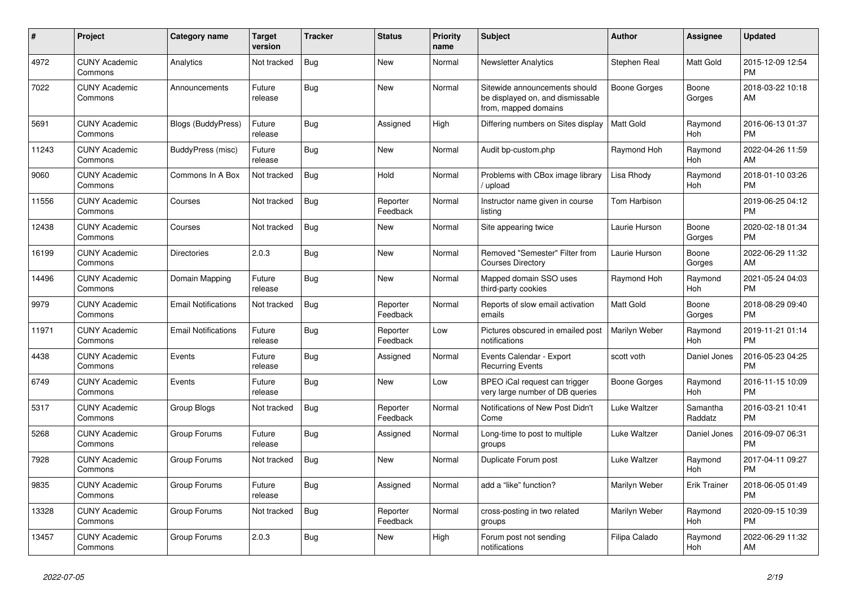| #     | <b>Project</b>                  | <b>Category name</b>       | <b>Target</b><br>version | <b>Tracker</b> | <b>Status</b>        | <b>Priority</b><br>name | <b>Subject</b>                                                                            | <b>Author</b>    | Assignee            | <b>Updated</b>                |
|-------|---------------------------------|----------------------------|--------------------------|----------------|----------------------|-------------------------|-------------------------------------------------------------------------------------------|------------------|---------------------|-------------------------------|
| 4972  | <b>CUNY Academic</b><br>Commons | Analytics                  | Not tracked              | Bug            | New                  | Normal                  | <b>Newsletter Analytics</b>                                                               | Stephen Real     | Matt Gold           | 2015-12-09 12:54<br><b>PM</b> |
| 7022  | <b>CUNY Academic</b><br>Commons | Announcements              | Future<br>release        | <b>Bug</b>     | New                  | Normal                  | Sitewide announcements should<br>be displayed on, and dismissable<br>from, mapped domains | Boone Gorges     | Boone<br>Gorges     | 2018-03-22 10:18<br>AM        |
| 5691  | <b>CUNY Academic</b><br>Commons | <b>Blogs (BuddyPress)</b>  | Future<br>release        | Bug            | Assigned             | High                    | Differing numbers on Sites display                                                        | <b>Matt Gold</b> | Raymond<br>Hoh      | 2016-06-13 01:37<br><b>PM</b> |
| 11243 | <b>CUNY Academic</b><br>Commons | BuddyPress (misc)          | Future<br>release        | <b>Bug</b>     | <b>New</b>           | Normal                  | Audit bp-custom.php                                                                       | Raymond Hoh      | Raymond<br>Hoh      | 2022-04-26 11:59<br>AM        |
| 9060  | <b>CUNY Academic</b><br>Commons | Commons In A Box           | Not tracked              | Bug            | Hold                 | Normal                  | Problems with CBox image library<br>/ upload                                              | Lisa Rhody       | Raymond<br>Hoh      | 2018-01-10 03:26<br><b>PM</b> |
| 11556 | <b>CUNY Academic</b><br>Commons | Courses                    | Not tracked              | Bug            | Reporter<br>Feedback | Normal                  | Instructor name given in course<br>listing                                                | Tom Harbison     |                     | 2019-06-25 04:12<br><b>PM</b> |
| 12438 | <b>CUNY Academic</b><br>Commons | Courses                    | Not tracked              | <b>Bug</b>     | <b>New</b>           | Normal                  | Site appearing twice                                                                      | Laurie Hurson    | Boone<br>Gorges     | 2020-02-18 01:34<br><b>PM</b> |
| 16199 | <b>CUNY Academic</b><br>Commons | <b>Directories</b>         | 2.0.3                    | Bug            | New                  | Normal                  | Removed "Semester" Filter from<br><b>Courses Directory</b>                                | Laurie Hurson    | Boone<br>Gorges     | 2022-06-29 11:32<br>AM        |
| 14496 | <b>CUNY Academic</b><br>Commons | Domain Mapping             | Future<br>release        | <b>Bug</b>     | <b>New</b>           | Normal                  | Mapped domain SSO uses<br>third-party cookies                                             | Raymond Hoh      | Raymond<br>Hoh      | 2021-05-24 04:03<br><b>PM</b> |
| 9979  | <b>CUNY Academic</b><br>Commons | <b>Email Notifications</b> | Not tracked              | <b>Bug</b>     | Reporter<br>Feedback | Normal                  | Reports of slow email activation<br>emails                                                | <b>Matt Gold</b> | Boone<br>Gorges     | 2018-08-29 09:40<br><b>PM</b> |
| 11971 | <b>CUNY Academic</b><br>Commons | <b>Email Notifications</b> | Future<br>release        | Bug            | Reporter<br>Feedback | Low                     | Pictures obscured in emailed post<br>notifications                                        | Marilyn Weber    | Raymond<br>Hoh      | 2019-11-21 01:14<br><b>PM</b> |
| 4438  | <b>CUNY Academic</b><br>Commons | Events                     | Future<br>release        | Bug            | Assigned             | Normal                  | Events Calendar - Export<br><b>Recurring Events</b>                                       | scott voth       | Daniel Jones        | 2016-05-23 04:25<br><b>PM</b> |
| 6749  | <b>CUNY Academic</b><br>Commons | Events                     | Future<br>release        | <b>Bug</b>     | <b>New</b>           | Low                     | BPEO iCal request can trigger<br>very large number of DB queries                          | Boone Gorges     | Raymond<br>Hoh      | 2016-11-15 10:09<br><b>PM</b> |
| 5317  | <b>CUNY Academic</b><br>Commons | Group Blogs                | Not tracked              | Bug            | Reporter<br>Feedback | Normal                  | Notifications of New Post Didn't<br>Come                                                  | Luke Waltzer     | Samantha<br>Raddatz | 2016-03-21 10:41<br><b>PM</b> |
| 5268  | <b>CUNY Academic</b><br>Commons | Group Forums               | Future<br>release        | <b>Bug</b>     | Assigned             | Normal                  | Long-time to post to multiple<br>groups                                                   | Luke Waltzer     | Daniel Jones        | 2016-09-07 06:31<br><b>PM</b> |
| 7928  | <b>CUNY Academic</b><br>Commons | Group Forums               | Not tracked              | <b>Bug</b>     | <b>New</b>           | Normal                  | Duplicate Forum post                                                                      | Luke Waltzer     | Raymond<br>Hoh      | 2017-04-11 09:27<br><b>PM</b> |
| 9835  | <b>CUNY Academic</b><br>Commons | Group Forums               | Future<br>release        | Bug            | Assigned             | Normal                  | add a "like" function?                                                                    | Marilyn Weber    | <b>Erik Trainer</b> | 2018-06-05 01:49<br><b>PM</b> |
| 13328 | <b>CUNY Academic</b><br>Commons | Group Forums               | Not tracked              | <b>Bug</b>     | Reporter<br>Feedback | Normal                  | cross-posting in two related<br>groups                                                    | Marilyn Weber    | Raymond<br>Hoh      | 2020-09-15 10:39<br><b>PM</b> |
| 13457 | <b>CUNY Academic</b><br>Commons | Group Forums               | 2.0.3                    | <b>Bug</b>     | <b>New</b>           | High                    | Forum post not sending<br>notifications                                                   | Filipa Calado    | Raymond<br>Hoh      | 2022-06-29 11:32<br>AM        |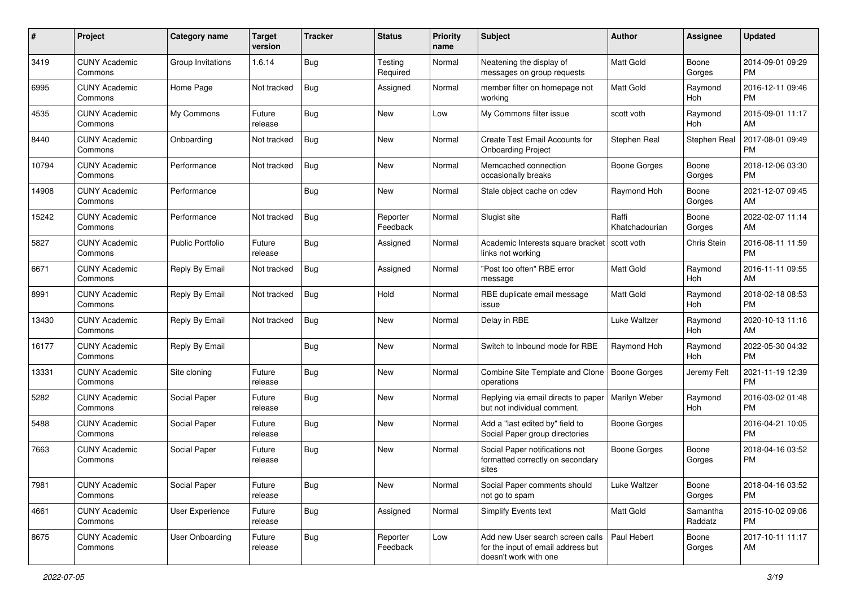| #     | Project                         | Category name          | <b>Target</b><br>version | <b>Tracker</b> | <b>Status</b>        | <b>Priority</b><br>name | <b>Subject</b>                                                                                  | Author                  | <b>Assignee</b>     | <b>Updated</b>                |
|-------|---------------------------------|------------------------|--------------------------|----------------|----------------------|-------------------------|-------------------------------------------------------------------------------------------------|-------------------------|---------------------|-------------------------------|
| 3419  | <b>CUNY Academic</b><br>Commons | Group Invitations      | 1.6.14                   | Bug            | Testing<br>Required  | Normal                  | Neatening the display of<br>messages on group requests                                          | <b>Matt Gold</b>        | Boone<br>Gorges     | 2014-09-01 09:29<br><b>PM</b> |
| 6995  | <b>CUNY Academic</b><br>Commons | Home Page              | Not tracked              | Bug            | Assigned             | Normal                  | member filter on homepage not<br>working                                                        | <b>Matt Gold</b>        | Raymond<br>Hoh      | 2016-12-11 09:46<br><b>PM</b> |
| 4535  | <b>CUNY Academic</b><br>Commons | My Commons             | Future<br>release        | Bug            | New                  | Low                     | My Commons filter issue                                                                         | scott voth              | Raymond<br>Hoh      | 2015-09-01 11:17<br>AM        |
| 8440  | <b>CUNY Academic</b><br>Commons | Onboarding             | Not tracked              | Bug            | New                  | Normal                  | Create Test Email Accounts for<br><b>Onboarding Project</b>                                     | Stephen Real            | Stephen Real        | 2017-08-01 09:49<br><b>PM</b> |
| 10794 | <b>CUNY Academic</b><br>Commons | Performance            | Not tracked              | Bug            | New                  | Normal                  | Memcached connection<br>occasionally breaks                                                     | <b>Boone Gorges</b>     | Boone<br>Gorges     | 2018-12-06 03:30<br><b>PM</b> |
| 14908 | <b>CUNY Academic</b><br>Commons | Performance            |                          | <b>Bug</b>     | <b>New</b>           | Normal                  | Stale object cache on cdev                                                                      | Raymond Hoh             | Boone<br>Gorges     | 2021-12-07 09:45<br>AM        |
| 15242 | <b>CUNY Academic</b><br>Commons | Performance            | Not tracked              | Bug            | Reporter<br>Feedback | Normal                  | Slugist site                                                                                    | Raffi<br>Khatchadourian | Boone<br>Gorges     | 2022-02-07 11:14<br>AM        |
| 5827  | <b>CUNY Academic</b><br>Commons | Public Portfolio       | Future<br>release        | Bug            | Assigned             | Normal                  | Academic Interests square bracket   scott voth<br>links not working                             |                         | Chris Stein         | 2016-08-11 11:59<br><b>PM</b> |
| 6671  | <b>CUNY Academic</b><br>Commons | Reply By Email         | Not tracked              | <b>Bug</b>     | Assigned             | Normal                  | "Post too often" RBE error<br>message                                                           | <b>Matt Gold</b>        | Raymond<br>Hoh      | 2016-11-11 09:55<br>AM        |
| 8991  | <b>CUNY Academic</b><br>Commons | Reply By Email         | Not tracked              | Bug            | Hold                 | Normal                  | RBE duplicate email message<br>issue                                                            | Matt Gold               | Raymond<br>Hoh      | 2018-02-18 08:53<br><b>PM</b> |
| 13430 | <b>CUNY Academic</b><br>Commons | Reply By Email         | Not tracked              | Bug            | New                  | Normal                  | Delay in RBE                                                                                    | Luke Waltzer            | Raymond<br>Hoh      | 2020-10-13 11:16<br>AM        |
| 16177 | <b>CUNY Academic</b><br>Commons | Reply By Email         |                          | Bug            | New                  | Normal                  | Switch to Inbound mode for RBE                                                                  | Raymond Hoh             | Raymond<br>Hoh      | 2022-05-30 04:32<br><b>PM</b> |
| 13331 | <b>CUNY Academic</b><br>Commons | Site cloning           | Future<br>release        | <b>Bug</b>     | New                  | Normal                  | Combine Site Template and Clone<br>operations                                                   | Boone Gorges            | Jeremy Felt         | 2021-11-19 12:39<br><b>PM</b> |
| 5282  | <b>CUNY Academic</b><br>Commons | Social Paper           | Future<br>release        | <b>Bug</b>     | New                  | Normal                  | Replying via email directs to paper<br>but not individual comment.                              | Marilyn Weber           | Raymond<br>Hoh      | 2016-03-02 01:48<br><b>PM</b> |
| 5488  | <b>CUNY Academic</b><br>Commons | Social Paper           | Future<br>release        | Bug            | New                  | Normal                  | Add a "last edited by" field to<br>Social Paper group directories                               | <b>Boone Gorges</b>     |                     | 2016-04-21 10:05<br><b>PM</b> |
| 7663  | <b>CUNY Academic</b><br>Commons | Social Paper           | Future<br>release        | <b>Bug</b>     | New                  | Normal                  | Social Paper notifications not<br>formatted correctly on secondary<br>sites                     | <b>Boone Gorges</b>     | Boone<br>Gorges     | 2018-04-16 03:52<br><b>PM</b> |
| 7981  | <b>CUNY Academic</b><br>Commons | Social Paper           | Future<br>release        | Bug            | New                  | Normal                  | Social Paper comments should<br>not go to spam                                                  | Luke Waltzer            | Boone<br>Gorges     | 2018-04-16 03:52<br><b>PM</b> |
| 4661  | <b>CUNY Academic</b><br>Commons | User Experience        | Future<br>release        | Bug            | Assigned             | Normal                  | Simplify Events text                                                                            | <b>Matt Gold</b>        | Samantha<br>Raddatz | 2015-10-02 09:06<br><b>PM</b> |
| 8675  | <b>CUNY Academic</b><br>Commons | <b>User Onboarding</b> | Future<br>release        | Bug            | Reporter<br>Feedback | Low                     | Add new User search screen calls<br>for the input of email address but<br>doesn't work with one | Paul Hebert             | Boone<br>Gorges     | 2017-10-11 11:17<br>AM        |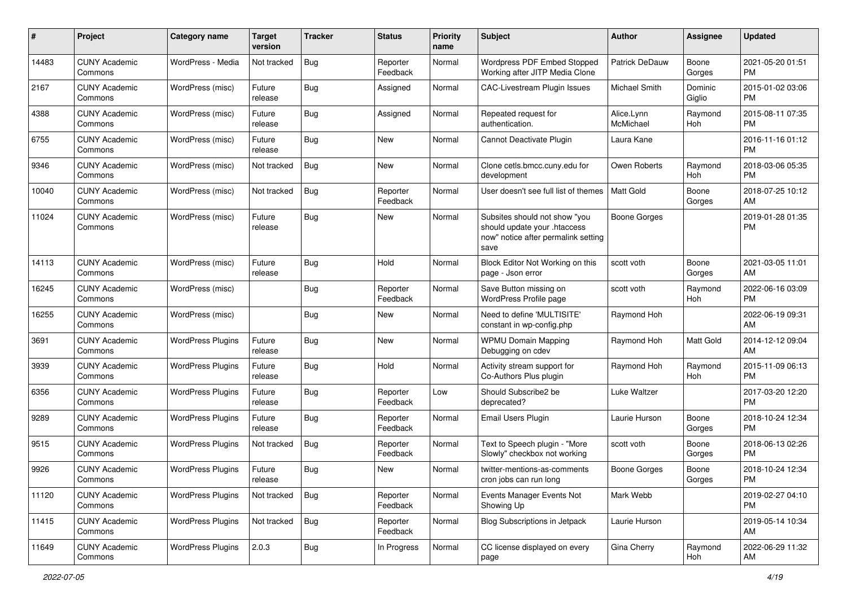| #     | Project                         | <b>Category name</b>     | <b>Target</b><br>version | Tracker    | <b>Status</b>        | Priority<br>name | Subject                                                                                                      | Author                  | <b>Assignee</b>   | <b>Updated</b>                |
|-------|---------------------------------|--------------------------|--------------------------|------------|----------------------|------------------|--------------------------------------------------------------------------------------------------------------|-------------------------|-------------------|-------------------------------|
| 14483 | <b>CUNY Academic</b><br>Commons | WordPress - Media        | Not tracked              | Bug        | Reporter<br>Feedback | Normal           | Wordpress PDF Embed Stopped<br>Working after JITP Media Clone                                                | Patrick DeDauw          | Boone<br>Gorges   | 2021-05-20 01:51<br><b>PM</b> |
| 2167  | <b>CUNY Academic</b><br>Commons | WordPress (misc)         | Future<br>release        | Bug        | Assigned             | Normal           | CAC-Livestream Plugin Issues                                                                                 | Michael Smith           | Dominic<br>Giglio | 2015-01-02 03:06<br><b>PM</b> |
| 4388  | <b>CUNY Academic</b><br>Commons | WordPress (misc)         | Future<br>release        | <b>Bug</b> | Assigned             | Normal           | Repeated request for<br>authentication.                                                                      | Alice.Lynn<br>McMichael | Raymond<br>Hoh    | 2015-08-11 07:35<br><b>PM</b> |
| 6755  | <b>CUNY Academic</b><br>Commons | WordPress (misc)         | Future<br>release        | <b>Bug</b> | New                  | Normal           | Cannot Deactivate Plugin                                                                                     | Laura Kane              |                   | 2016-11-16 01:12<br><b>PM</b> |
| 9346  | <b>CUNY Academic</b><br>Commons | WordPress (misc)         | Not tracked              | Bug        | New                  | Normal           | Clone cetls.bmcc.cuny.edu for<br>development                                                                 | Owen Roberts            | Raymond<br>Hoh    | 2018-03-06 05:35<br><b>PM</b> |
| 10040 | <b>CUNY Academic</b><br>Commons | WordPress (misc)         | Not tracked              | <b>Bug</b> | Reporter<br>Feedback | Normal           | User doesn't see full list of themes                                                                         | <b>Matt Gold</b>        | Boone<br>Gorges   | 2018-07-25 10:12<br>AM        |
| 11024 | <b>CUNY Academic</b><br>Commons | WordPress (misc)         | Future<br>release        | <b>Bug</b> | New                  | Normal           | Subsites should not show "you<br>should update your .htaccess<br>now" notice after permalink setting<br>save | <b>Boone Gorges</b>     |                   | 2019-01-28 01:35<br><b>PM</b> |
| 14113 | <b>CUNY Academic</b><br>Commons | WordPress (misc)         | Future<br>release        | <b>Bug</b> | Hold                 | Normal           | Block Editor Not Working on this<br>page - Json error                                                        | scott voth              | Boone<br>Gorges   | 2021-03-05 11:01<br>AM        |
| 16245 | <b>CUNY Academic</b><br>Commons | WordPress (misc)         |                          | Bug        | Reporter<br>Feedback | Normal           | Save Button missing on<br>WordPress Profile page                                                             | scott voth              | Raymond<br>Hoh    | 2022-06-16 03:09<br><b>PM</b> |
| 16255 | <b>CUNY Academic</b><br>Commons | WordPress (misc)         |                          | Bug        | New                  | Normal           | Need to define 'MULTISITE'<br>constant in wp-config.php                                                      | Raymond Hoh             |                   | 2022-06-19 09:31<br>AM        |
| 3691  | <b>CUNY Academic</b><br>Commons | <b>WordPress Plugins</b> | Future<br>release        | Bug        | New                  | Normal           | <b>WPMU Domain Mapping</b><br>Debugging on cdev                                                              | Raymond Hoh             | Matt Gold         | 2014-12-12 09:04<br>AM        |
| 3939  | <b>CUNY Academic</b><br>Commons | <b>WordPress Plugins</b> | Future<br>release        | Bug        | Hold                 | Normal           | Activity stream support for<br>Co-Authors Plus plugin                                                        | Raymond Hoh             | Raymond<br>Hoh    | 2015-11-09 06:13<br><b>PM</b> |
| 6356  | <b>CUNY Academic</b><br>Commons | <b>WordPress Plugins</b> | Future<br>release        | Bug        | Reporter<br>Feedback | Low              | Should Subscribe2 be<br>deprecated?                                                                          | Luke Waltzer            |                   | 2017-03-20 12:20<br><b>PM</b> |
| 9289  | <b>CUNY Academic</b><br>Commons | <b>WordPress Plugins</b> | Future<br>release        | Bug        | Reporter<br>Feedback | Normal           | Email Users Plugin                                                                                           | Laurie Hurson           | Boone<br>Gorges   | 2018-10-24 12:34<br><b>PM</b> |
| 9515  | <b>CUNY Academic</b><br>Commons | <b>WordPress Plugins</b> | Not tracked              | <b>Bug</b> | Reporter<br>Feedback | Normal           | Text to Speech plugin - "More<br>Slowly" checkbox not working                                                | scott voth              | Boone<br>Gorges   | 2018-06-13 02:26<br><b>PM</b> |
| 9926  | CUNY Academic<br>Commons        | <b>WordPress Plugins</b> | Future<br>release        | <b>Bug</b> | New                  | Normal           | twitter-mentions-as-comments<br>cron jobs can run long                                                       | <b>Boone Gorges</b>     | Boone<br>Gorges   | 2018-10-24 12:34<br>PM        |
| 11120 | <b>CUNY Academic</b><br>Commons | <b>WordPress Plugins</b> | Not tracked              | <b>Bug</b> | Reporter<br>Feedback | Normal           | Events Manager Events Not<br>Showing Up                                                                      | Mark Webb               |                   | 2019-02-27 04:10<br>PM        |
| 11415 | <b>CUNY Academic</b><br>Commons | <b>WordPress Plugins</b> | Not tracked              | <b>Bug</b> | Reporter<br>Feedback | Normal           | <b>Blog Subscriptions in Jetpack</b>                                                                         | Laurie Hurson           |                   | 2019-05-14 10:34<br>AM        |
| 11649 | <b>CUNY Academic</b><br>Commons | <b>WordPress Plugins</b> | 2.0.3                    | <b>Bug</b> | In Progress          | Normal           | CC license displayed on every<br>page                                                                        | Gina Cherry             | Raymond<br>Hoh    | 2022-06-29 11:32<br>AM        |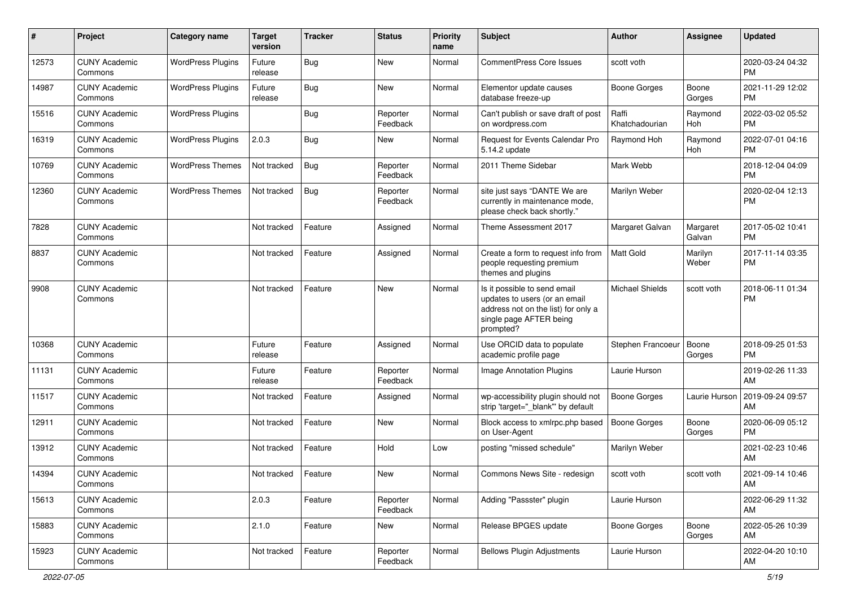| #     | Project                         | <b>Category name</b>     | <b>Target</b><br>version | <b>Tracker</b> | <b>Status</b>        | <b>Priority</b><br>name | <b>Subject</b>                                                                                                                               | Author                  | <b>Assignee</b>    | <b>Updated</b>                |
|-------|---------------------------------|--------------------------|--------------------------|----------------|----------------------|-------------------------|----------------------------------------------------------------------------------------------------------------------------------------------|-------------------------|--------------------|-------------------------------|
| 12573 | <b>CUNY Academic</b><br>Commons | <b>WordPress Plugins</b> | Future<br>release        | <b>Bug</b>     | <b>New</b>           | Normal                  | <b>CommentPress Core Issues</b>                                                                                                              | scott voth              |                    | 2020-03-24 04:32<br><b>PM</b> |
| 14987 | <b>CUNY Academic</b><br>Commons | <b>WordPress Plugins</b> | Future<br>release        | Bug            | New                  | Normal                  | Elementor update causes<br>database freeze-up                                                                                                | <b>Boone Gorges</b>     | Boone<br>Gorges    | 2021-11-29 12:02<br><b>PM</b> |
| 15516 | <b>CUNY Academic</b><br>Commons | <b>WordPress Plugins</b> |                          | Bug            | Reporter<br>Feedback | Normal                  | Can't publish or save draft of post<br>on wordpress.com                                                                                      | Raffi<br>Khatchadourian | Raymond<br>Hoh     | 2022-03-02 05:52<br><b>PM</b> |
| 16319 | <b>CUNY Academic</b><br>Commons | <b>WordPress Plugins</b> | 2.0.3                    | Bug            | New                  | Normal                  | Request for Events Calendar Pro<br>5.14.2 update                                                                                             | Raymond Hoh             | Raymond<br>Hoh     | 2022-07-01 04:16<br><b>PM</b> |
| 10769 | <b>CUNY Academic</b><br>Commons | <b>WordPress Themes</b>  | Not tracked              | <b>Bug</b>     | Reporter<br>Feedback | Normal                  | 2011 Theme Sidebar                                                                                                                           | Mark Webb               |                    | 2018-12-04 04:09<br><b>PM</b> |
| 12360 | <b>CUNY Academic</b><br>Commons | <b>WordPress Themes</b>  | Not tracked              | Bug            | Reporter<br>Feedback | Normal                  | site just says "DANTE We are<br>currently in maintenance mode,<br>please check back shortly."                                                | Marilyn Weber           |                    | 2020-02-04 12:13<br><b>PM</b> |
| 7828  | <b>CUNY Academic</b><br>Commons |                          | Not tracked              | Feature        | Assigned             | Normal                  | Theme Assessment 2017                                                                                                                        | Margaret Galvan         | Margaret<br>Galvan | 2017-05-02 10:41<br><b>PM</b> |
| 8837  | <b>CUNY Academic</b><br>Commons |                          | Not tracked              | Feature        | Assigned             | Normal                  | Create a form to request info from<br>people requesting premium<br>themes and plugins                                                        | Matt Gold               | Marilyn<br>Weber   | 2017-11-14 03:35<br><b>PM</b> |
| 9908  | <b>CUNY Academic</b><br>Commons |                          | Not tracked              | Feature        | <b>New</b>           | Normal                  | Is it possible to send email<br>updates to users (or an email<br>address not on the list) for only a<br>single page AFTER being<br>prompted? | <b>Michael Shields</b>  | scott voth         | 2018-06-11 01:34<br><b>PM</b> |
| 10368 | <b>CUNY Academic</b><br>Commons |                          | Future<br>release        | Feature        | Assigned             | Normal                  | Use ORCID data to populate<br>academic profile page                                                                                          | Stephen Francoeur       | Boone<br>Gorges    | 2018-09-25 01:53<br><b>PM</b> |
| 11131 | <b>CUNY Academic</b><br>Commons |                          | Future<br>release        | Feature        | Reporter<br>Feedback | Normal                  | <b>Image Annotation Plugins</b>                                                                                                              | Laurie Hurson           |                    | 2019-02-26 11:33<br>AM        |
| 11517 | <b>CUNY Academic</b><br>Commons |                          | Not tracked              | Feature        | Assigned             | Normal                  | wp-accessibility plugin should not<br>strip 'target="_blank" by default                                                                      | <b>Boone Gorges</b>     | Laurie Hurson      | 2019-09-24 09:57<br>AM        |
| 12911 | <b>CUNY Academic</b><br>Commons |                          | Not tracked              | Feature        | <b>New</b>           | Normal                  | Block access to xmlrpc.php based<br>on User-Agent                                                                                            | Boone Gorges            | Boone<br>Gorges    | 2020-06-09 05:12<br>PM.       |
| 13912 | <b>CUNY Academic</b><br>Commons |                          | Not tracked              | Feature        | Hold                 | Low                     | posting "missed schedule"                                                                                                                    | Marilyn Weber           |                    | 2021-02-23 10:46<br>AM        |
| 14394 | <b>CUNY Academic</b><br>Commons |                          | Not tracked              | Feature        | New                  | Normal                  | Commons News Site - redesign                                                                                                                 | scott voth              | scott voth         | 2021-09-14 10:46<br>AM        |
| 15613 | <b>CUNY Academic</b><br>Commons |                          | 2.0.3                    | Feature        | Reporter<br>Feedback | Normal                  | Adding "Passster" plugin                                                                                                                     | Laurie Hurson           |                    | 2022-06-29 11:32<br>AM        |
| 15883 | <b>CUNY Academic</b><br>Commons |                          | 2.1.0                    | Feature        | New                  | Normal                  | Release BPGES update                                                                                                                         | Boone Gorges            | Boone<br>Gorges    | 2022-05-26 10:39<br>AM        |
| 15923 | <b>CUNY Academic</b><br>Commons |                          | Not tracked              | Feature        | Reporter<br>Feedback | Normal                  | <b>Bellows Plugin Adjustments</b>                                                                                                            | Laurie Hurson           |                    | 2022-04-20 10:10<br>AM        |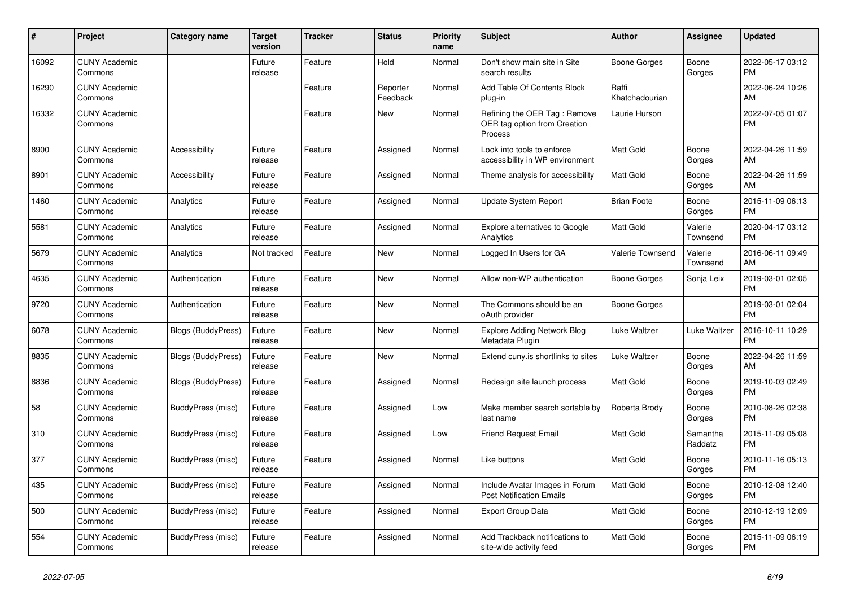| #     | Project                         | Category name      | <b>Target</b><br>version | <b>Tracker</b> | <b>Status</b>        | <b>Priority</b><br>name | <b>Subject</b>                                                          | <b>Author</b>           | <b>Assignee</b>     | <b>Updated</b>                |
|-------|---------------------------------|--------------------|--------------------------|----------------|----------------------|-------------------------|-------------------------------------------------------------------------|-------------------------|---------------------|-------------------------------|
| 16092 | <b>CUNY Academic</b><br>Commons |                    | Future<br>release        | Feature        | Hold                 | Normal                  | Don't show main site in Site<br>search results                          | Boone Gorges            | Boone<br>Gorges     | 2022-05-17 03:12<br><b>PM</b> |
| 16290 | <b>CUNY Academic</b><br>Commons |                    |                          | Feature        | Reporter<br>Feedback | Normal                  | Add Table Of Contents Block<br>plug-in                                  | Raffi<br>Khatchadourian |                     | 2022-06-24 10:26<br>AM        |
| 16332 | <b>CUNY Academic</b><br>Commons |                    |                          | Feature        | <b>New</b>           | Normal                  | Refining the OER Tag: Remove<br>OER tag option from Creation<br>Process | Laurie Hurson           |                     | 2022-07-05 01:07<br><b>PM</b> |
| 8900  | <b>CUNY Academic</b><br>Commons | Accessibility      | Future<br>release        | Feature        | Assigned             | Normal                  | Look into tools to enforce<br>accessibility in WP environment           | <b>Matt Gold</b>        | Boone<br>Gorges     | 2022-04-26 11:59<br>AM        |
| 8901  | <b>CUNY Academic</b><br>Commons | Accessibility      | Future<br>release        | Feature        | Assigned             | Normal                  | Theme analysis for accessibility                                        | <b>Matt Gold</b>        | Boone<br>Gorges     | 2022-04-26 11:59<br>AM        |
| 1460  | <b>CUNY Academic</b><br>Commons | Analytics          | Future<br>release        | Feature        | Assigned             | Normal                  | <b>Update System Report</b>                                             | <b>Brian Foote</b>      | Boone<br>Gorges     | 2015-11-09 06:13<br><b>PM</b> |
| 5581  | <b>CUNY Academic</b><br>Commons | Analytics          | Future<br>release        | Feature        | Assigned             | Normal                  | <b>Explore alternatives to Google</b><br>Analytics                      | <b>Matt Gold</b>        | Valerie<br>Townsend | 2020-04-17 03:12<br><b>PM</b> |
| 5679  | <b>CUNY Academic</b><br>Commons | Analytics          | Not tracked              | Feature        | New                  | Normal                  | Logged In Users for GA                                                  | <b>Valerie Townsend</b> | Valerie<br>Townsend | 2016-06-11 09:49<br>AM        |
| 4635  | <b>CUNY Academic</b><br>Commons | Authentication     | Future<br>release        | Feature        | <b>New</b>           | Normal                  | Allow non-WP authentication                                             | Boone Gorges            | Sonja Leix          | 2019-03-01 02:05<br><b>PM</b> |
| 9720  | <b>CUNY Academic</b><br>Commons | Authentication     | Future<br>release        | Feature        | <b>New</b>           | Normal                  | The Commons should be an<br>oAuth provider                              | Boone Gorges            |                     | 2019-03-01 02:04<br><b>PM</b> |
| 6078  | <b>CUNY Academic</b><br>Commons | Blogs (BuddyPress) | Future<br>release        | Feature        | New                  | Normal                  | <b>Explore Adding Network Blog</b><br>Metadata Plugin                   | Luke Waltzer            | Luke Waltzer        | 2016-10-11 10:29<br><b>PM</b> |
| 8835  | <b>CUNY Academic</b><br>Commons | Blogs (BuddyPress) | Future<br>release        | Feature        | <b>New</b>           | Normal                  | Extend cuny is shortlinks to sites                                      | Luke Waltzer            | Boone<br>Gorges     | 2022-04-26 11:59<br>AM        |
| 8836  | <b>CUNY Academic</b><br>Commons | Blogs (BuddyPress) | Future<br>release        | Feature        | Assigned             | Normal                  | Redesign site launch process                                            | <b>Matt Gold</b>        | Boone<br>Gorges     | 2019-10-03 02:49<br><b>PM</b> |
| 58    | <b>CUNY Academic</b><br>Commons | BuddyPress (misc)  | Future<br>release        | Feature        | Assigned             | Low                     | Make member search sortable by<br>last name                             | Roberta Brody           | Boone<br>Gorges     | 2010-08-26 02:38<br><b>PM</b> |
| 310   | <b>CUNY Academic</b><br>Commons | BuddyPress (misc)  | Future<br>release        | Feature        | Assigned             | Low                     | <b>Friend Request Email</b>                                             | <b>Matt Gold</b>        | Samantha<br>Raddatz | 2015-11-09 05:08<br><b>PM</b> |
| 377   | <b>CUNY Academic</b><br>Commons | BuddyPress (misc)  | Future<br>release        | Feature        | Assigned             | Normal                  | Like buttons                                                            | Matt Gold               | Boone<br>Gorges     | 2010-11-16 05:13<br><b>PM</b> |
| 435   | <b>CUNY Academic</b><br>Commons | BuddyPress (misc)  | Future<br>release        | Feature        | Assigned             | Normal                  | Include Avatar Images in Forum<br><b>Post Notification Emails</b>       | <b>Matt Gold</b>        | Boone<br>Gorges     | 2010-12-08 12:40<br><b>PM</b> |
| 500   | <b>CUNY Academic</b><br>Commons | BuddyPress (misc)  | Future<br>release        | Feature        | Assigned             | Normal                  | <b>Export Group Data</b>                                                | <b>Matt Gold</b>        | Boone<br>Gorges     | 2010-12-19 12:09<br><b>PM</b> |
| 554   | <b>CUNY Academic</b><br>Commons | BuddyPress (misc)  | Future<br>release        | Feature        | Assigned             | Normal                  | Add Trackback notifications to<br>site-wide activity feed               | <b>Matt Gold</b>        | Boone<br>Gorges     | 2015-11-09 06:19<br><b>PM</b> |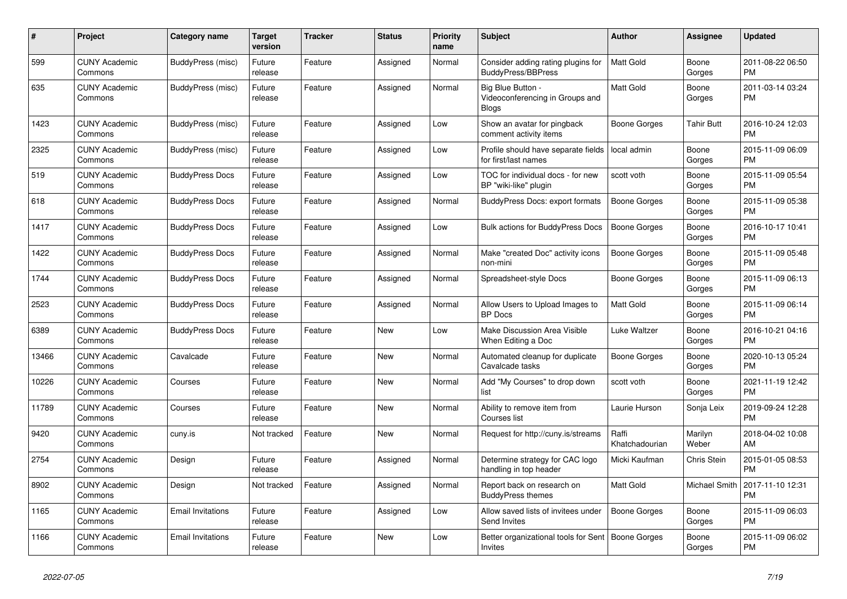| #     | <b>Project</b>                  | <b>Category name</b>     | <b>Target</b><br>version | <b>Tracker</b> | <b>Status</b> | Priority<br>name | <b>Subject</b>                                                       | <b>Author</b>           | Assignee          | <b>Updated</b>                |
|-------|---------------------------------|--------------------------|--------------------------|----------------|---------------|------------------|----------------------------------------------------------------------|-------------------------|-------------------|-------------------------------|
| 599   | <b>CUNY Academic</b><br>Commons | BuddyPress (misc)        | Future<br>release        | Feature        | Assigned      | Normal           | Consider adding rating plugins for<br><b>BuddyPress/BBPress</b>      | <b>Matt Gold</b>        | Boone<br>Gorges   | 2011-08-22 06:50<br><b>PM</b> |
| 635   | <b>CUNY Academic</b><br>Commons | BuddyPress (misc)        | Future<br>release        | Feature        | Assigned      | Normal           | Big Blue Button -<br>Videoconferencing in Groups and<br><b>Blogs</b> | <b>Matt Gold</b>        | Boone<br>Gorges   | 2011-03-14 03:24<br><b>PM</b> |
| 1423  | <b>CUNY Academic</b><br>Commons | BuddyPress (misc)        | Future<br>release        | Feature        | Assigned      | Low              | Show an avatar for pingback<br>comment activity items                | Boone Gorges            | <b>Tahir Butt</b> | 2016-10-24 12:03<br><b>PM</b> |
| 2325  | <b>CUNY Academic</b><br>Commons | BuddyPress (misc)        | Future<br>release        | Feature        | Assigned      | Low              | Profile should have separate fields<br>for first/last names          | local admin             | Boone<br>Gorges   | 2015-11-09 06:09<br><b>PM</b> |
| 519   | <b>CUNY Academic</b><br>Commons | <b>BuddyPress Docs</b>   | Future<br>release        | Feature        | Assigned      | Low              | TOC for individual docs - for new<br>BP "wiki-like" plugin           | scott voth              | Boone<br>Gorges   | 2015-11-09 05:54<br><b>PM</b> |
| 618   | <b>CUNY Academic</b><br>Commons | <b>BuddyPress Docs</b>   | Future<br>release        | Feature        | Assigned      | Normal           | <b>BuddyPress Docs: export formats</b>                               | <b>Boone Gorges</b>     | Boone<br>Gorges   | 2015-11-09 05:38<br><b>PM</b> |
| 1417  | <b>CUNY Academic</b><br>Commons | <b>BuddyPress Docs</b>   | Future<br>release        | Feature        | Assigned      | Low              | <b>Bulk actions for BuddyPress Docs</b>                              | Boone Gorges            | Boone<br>Gorges   | 2016-10-17 10:41<br><b>PM</b> |
| 1422  | <b>CUNY Academic</b><br>Commons | <b>BuddyPress Docs</b>   | Future<br>release        | Feature        | Assigned      | Normal           | Make "created Doc" activity icons<br>non-mini                        | <b>Boone Gorges</b>     | Boone<br>Gorges   | 2015-11-09 05:48<br><b>PM</b> |
| 1744  | <b>CUNY Academic</b><br>Commons | <b>BuddyPress Docs</b>   | Future<br>release        | Feature        | Assigned      | Normal           | Spreadsheet-style Docs                                               | Boone Gorges            | Boone<br>Gorges   | 2015-11-09 06:13<br><b>PM</b> |
| 2523  | <b>CUNY Academic</b><br>Commons | <b>BuddyPress Docs</b>   | Future<br>release        | Feature        | Assigned      | Normal           | Allow Users to Upload Images to<br><b>BP</b> Docs                    | <b>Matt Gold</b>        | Boone<br>Gorges   | 2015-11-09 06:14<br><b>PM</b> |
| 6389  | <b>CUNY Academic</b><br>Commons | <b>BuddyPress Docs</b>   | Future<br>release        | Feature        | New           | Low              | Make Discussion Area Visible<br>When Editing a Doc                   | Luke Waltzer            | Boone<br>Gorges   | 2016-10-21 04:16<br><b>PM</b> |
| 13466 | <b>CUNY Academic</b><br>Commons | Cavalcade                | Future<br>release        | Feature        | New           | Normal           | Automated cleanup for duplicate<br>Cavalcade tasks                   | Boone Gorges            | Boone<br>Gorges   | 2020-10-13 05:24<br><b>PM</b> |
| 10226 | <b>CUNY Academic</b><br>Commons | Courses                  | Future<br>release        | Feature        | New           | Normal           | Add "My Courses" to drop down<br>list                                | scott voth              | Boone<br>Gorges   | 2021-11-19 12:42<br><b>PM</b> |
| 11789 | <b>CUNY Academic</b><br>Commons | Courses                  | Future<br>release        | Feature        | <b>New</b>    | Normal           | Ability to remove item from<br>Courses list                          | Laurie Hurson           | Sonja Leix        | 2019-09-24 12:28<br><b>PM</b> |
| 9420  | <b>CUNY Academic</b><br>Commons | cuny.is                  | Not tracked              | Feature        | New           | Normal           | Request for http://cuny.is/streams                                   | Raffi<br>Khatchadourian | Marilyn<br>Weber  | 2018-04-02 10:08<br>AM        |
| 2754  | <b>CUNY Academic</b><br>Commons | Design                   | Future<br>release        | Feature        | Assigned      | Normal           | Determine strategy for CAC logo<br>handling in top header            | Micki Kaufman           | Chris Stein       | 2015-01-05 08:53<br><b>PM</b> |
| 8902  | <b>CUNY Academic</b><br>Commons | Design                   | Not tracked              | Feature        | Assigned      | Normal           | Report back on research on<br><b>BuddyPress themes</b>               | Matt Gold               | Michael Smith     | 2017-11-10 12:31<br><b>PM</b> |
| 1165  | <b>CUNY Academic</b><br>Commons | <b>Email Invitations</b> | Future<br>release        | Feature        | Assigned      | Low              | Allow saved lists of invitees under<br>Send Invites                  | Boone Gorges            | Boone<br>Gorges   | 2015-11-09 06:03<br><b>PM</b> |
| 1166  | <b>CUNY Academic</b><br>Commons | <b>Email Invitations</b> | Future<br>release        | Feature        | <b>New</b>    | Low              | Better organizational tools for Sent   Boone Gorges<br>Invites       |                         | Boone<br>Gorges   | 2015-11-09 06:02<br><b>PM</b> |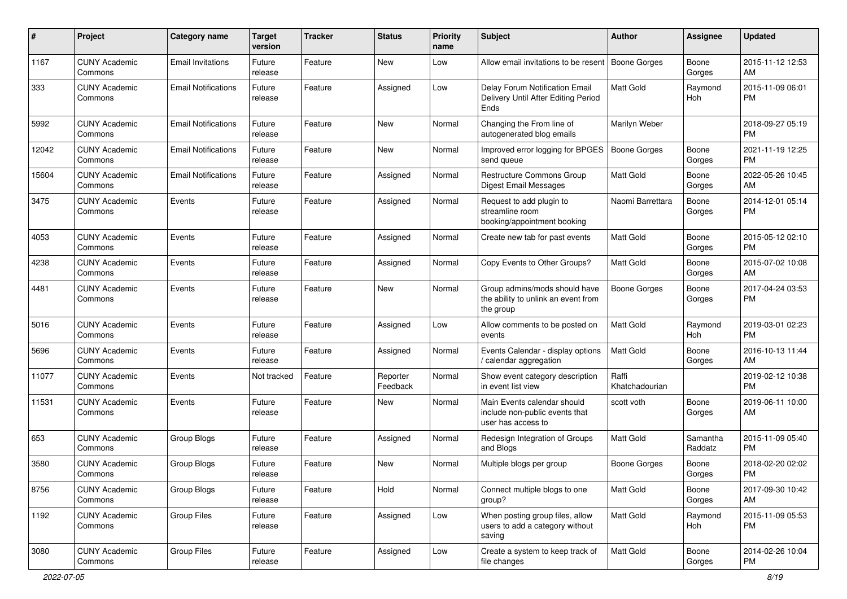| #     | Project                         | <b>Category name</b>       | <b>Target</b><br>version | <b>Tracker</b> | <b>Status</b>        | <b>Priority</b><br>name | Subject                                                                             | Author                  | <b>Assignee</b>     | <b>Updated</b>                |
|-------|---------------------------------|----------------------------|--------------------------|----------------|----------------------|-------------------------|-------------------------------------------------------------------------------------|-------------------------|---------------------|-------------------------------|
| 1167  | <b>CUNY Academic</b><br>Commons | <b>Email Invitations</b>   | Future<br>release        | Feature        | <b>New</b>           | Low                     | Allow email invitations to be resent                                                | Boone Gorges            | Boone<br>Gorges     | 2015-11-12 12:53<br>AM        |
| 333   | <b>CUNY Academic</b><br>Commons | <b>Email Notifications</b> | Future<br>release        | Feature        | Assigned             | Low                     | Delay Forum Notification Email<br>Delivery Until After Editing Period<br>Ends       | <b>Matt Gold</b>        | Raymond<br>Hoh      | 2015-11-09 06:01<br><b>PM</b> |
| 5992  | <b>CUNY Academic</b><br>Commons | <b>Email Notifications</b> | Future<br>release        | Feature        | New                  | Normal                  | Changing the From line of<br>autogenerated blog emails                              | Marilyn Weber           |                     | 2018-09-27 05:19<br><b>PM</b> |
| 12042 | <b>CUNY Academic</b><br>Commons | <b>Email Notifications</b> | Future<br>release        | Feature        | <b>New</b>           | Normal                  | Improved error logging for BPGES<br>send queue                                      | <b>Boone Gorges</b>     | Boone<br>Gorges     | 2021-11-19 12:25<br>PM        |
| 15604 | <b>CUNY Academic</b><br>Commons | <b>Email Notifications</b> | Future<br>release        | Feature        | Assigned             | Normal                  | <b>Restructure Commons Group</b><br><b>Digest Email Messages</b>                    | <b>Matt Gold</b>        | Boone<br>Gorges     | 2022-05-26 10:45<br>AM        |
| 3475  | <b>CUNY Academic</b><br>Commons | Events                     | Future<br>release        | Feature        | Assigned             | Normal                  | Request to add plugin to<br>streamline room<br>booking/appointment booking          | Naomi Barrettara        | Boone<br>Gorges     | 2014-12-01 05:14<br><b>PM</b> |
| 4053  | <b>CUNY Academic</b><br>Commons | Events                     | Future<br>release        | Feature        | Assigned             | Normal                  | Create new tab for past events                                                      | <b>Matt Gold</b>        | Boone<br>Gorges     | 2015-05-12 02:10<br>PM.       |
| 4238  | <b>CUNY Academic</b><br>Commons | Events                     | Future<br>release        | Feature        | Assigned             | Normal                  | Copy Events to Other Groups?                                                        | <b>Matt Gold</b>        | Boone<br>Gorges     | 2015-07-02 10:08<br>AM.       |
| 4481  | <b>CUNY Academic</b><br>Commons | Events                     | Future<br>release        | Feature        | New                  | Normal                  | Group admins/mods should have<br>the ability to unlink an event from<br>the group   | <b>Boone Gorges</b>     | Boone<br>Gorges     | 2017-04-24 03:53<br><b>PM</b> |
| 5016  | <b>CUNY Academic</b><br>Commons | Events                     | Future<br>release        | Feature        | Assigned             | Low                     | Allow comments to be posted on<br>events                                            | Matt Gold               | Raymond<br>Hoh      | 2019-03-01 02:23<br><b>PM</b> |
| 5696  | <b>CUNY Academic</b><br>Commons | Events                     | Future<br>release        | Feature        | Assigned             | Normal                  | Events Calendar - display options<br>/ calendar aggregation                         | Matt Gold               | Boone<br>Gorges     | 2016-10-13 11:44<br>AM.       |
| 11077 | <b>CUNY Academic</b><br>Commons | Events                     | Not tracked              | Feature        | Reporter<br>Feedback | Normal                  | Show event category description<br>in event list view                               | Raffi<br>Khatchadourian |                     | 2019-02-12 10:38<br><b>PM</b> |
| 11531 | <b>CUNY Academic</b><br>Commons | Events                     | Future<br>release        | Feature        | New                  | Normal                  | Main Events calendar should<br>include non-public events that<br>user has access to | scott voth              | Boone<br>Gorges     | 2019-06-11 10:00<br>AM        |
| 653   | <b>CUNY Academic</b><br>Commons | Group Blogs                | Future<br>release        | Feature        | Assigned             | Normal                  | Redesign Integration of Groups<br>and Blogs                                         | <b>Matt Gold</b>        | Samantha<br>Raddatz | 2015-11-09 05:40<br><b>PM</b> |
| 3580  | <b>CUNY Academic</b><br>Commons | Group Blogs                | Future<br>release        | Feature        | <b>New</b>           | Normal                  | Multiple blogs per group                                                            | <b>Boone Gorges</b>     | Boone<br>Gorges     | 2018-02-20 02:02<br><b>PM</b> |
| 8756  | <b>CUNY Academic</b><br>Commons | Group Blogs                | Future<br>release        | Feature        | Hold                 | Normal                  | Connect multiple blogs to one<br>group?                                             | Matt Gold               | Boone<br>Gorges     | 2017-09-30 10:42<br>AM        |
| 1192  | <b>CUNY Academic</b><br>Commons | Group Files                | Future<br>release        | Feature        | Assigned             | Low                     | When posting group files, allow<br>users to add a category without<br>saving        | Matt Gold               | Raymond<br>Hoh      | 2015-11-09 05:53<br><b>PM</b> |
| 3080  | <b>CUNY Academic</b><br>Commons | Group Files                | Future<br>release        | Feature        | Assigned             | Low                     | Create a system to keep track of<br>file changes                                    | <b>Matt Gold</b>        | Boone<br>Gorges     | 2014-02-26 10:04<br>PM        |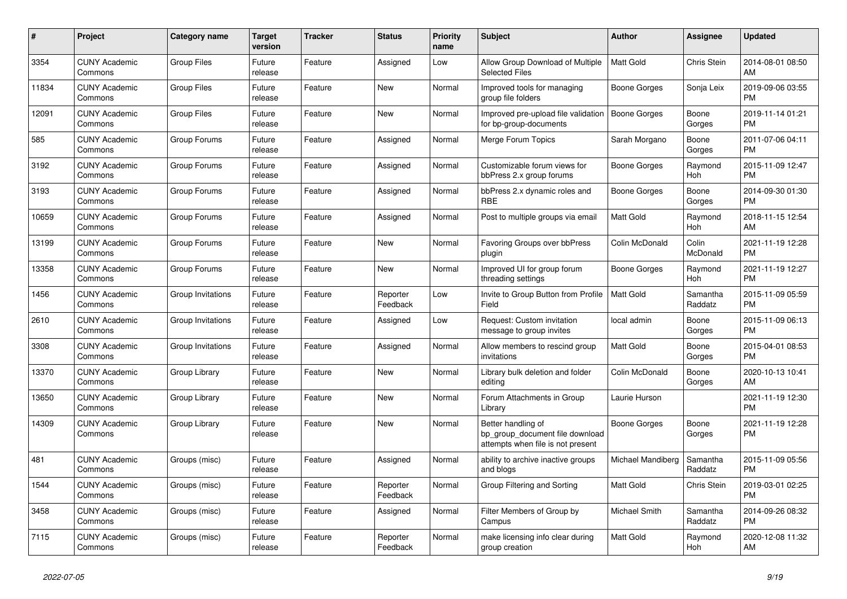| $\pmb{\#}$ | Project                         | Category name      | <b>Target</b><br>version | <b>Tracker</b> | <b>Status</b>        | Priority<br>name | <b>Subject</b>                                                                             | <b>Author</b>     | Assignee            | <b>Updated</b>                |
|------------|---------------------------------|--------------------|--------------------------|----------------|----------------------|------------------|--------------------------------------------------------------------------------------------|-------------------|---------------------|-------------------------------|
| 3354       | <b>CUNY Academic</b><br>Commons | <b>Group Files</b> | Future<br>release        | Feature        | Assigned             | Low              | Allow Group Download of Multiple<br><b>Selected Files</b>                                  | <b>Matt Gold</b>  | Chris Stein         | 2014-08-01 08:50<br>AM        |
| 11834      | <b>CUNY Academic</b><br>Commons | <b>Group Files</b> | Future<br>release        | Feature        | New                  | Normal           | Improved tools for managing<br>group file folders                                          | Boone Gorges      | Sonja Leix          | 2019-09-06 03:55<br><b>PM</b> |
| 12091      | <b>CUNY Academic</b><br>Commons | <b>Group Files</b> | Future<br>release        | Feature        | <b>New</b>           | Normal           | Improved pre-upload file validation<br>for bp-group-documents                              | Boone Gorges      | Boone<br>Gorges     | 2019-11-14 01:21<br><b>PM</b> |
| 585        | <b>CUNY Academic</b><br>Commons | Group Forums       | Future<br>release        | Feature        | Assigned             | Normal           | Merge Forum Topics                                                                         | Sarah Morgano     | Boone<br>Gorges     | 2011-07-06 04:11<br><b>PM</b> |
| 3192       | <b>CUNY Academic</b><br>Commons | Group Forums       | Future<br>release        | Feature        | Assigned             | Normal           | Customizable forum views for<br>bbPress 2.x group forums                                   | Boone Gorges      | Raymond<br>Hoh      | 2015-11-09 12:47<br><b>PM</b> |
| 3193       | <b>CUNY Academic</b><br>Commons | Group Forums       | Future<br>release        | Feature        | Assigned             | Normal           | bbPress 2.x dynamic roles and<br><b>RBE</b>                                                | Boone Gorges      | Boone<br>Gorges     | 2014-09-30 01:30<br><b>PM</b> |
| 10659      | <b>CUNY Academic</b><br>Commons | Group Forums       | Future<br>release        | Feature        | Assigned             | Normal           | Post to multiple groups via email                                                          | <b>Matt Gold</b>  | Raymond<br>Hoh      | 2018-11-15 12:54<br>AM        |
| 13199      | <b>CUNY Academic</b><br>Commons | Group Forums       | Future<br>release        | Feature        | New                  | Normal           | <b>Favoring Groups over bbPress</b><br>plugin                                              | Colin McDonald    | Colin<br>McDonald   | 2021-11-19 12:28<br><b>PM</b> |
| 13358      | <b>CUNY Academic</b><br>Commons | Group Forums       | Future<br>release        | Feature        | <b>New</b>           | Normal           | Improved UI for group forum<br>threading settings                                          | Boone Gorges      | Raymond<br>Hoh      | 2021-11-19 12:27<br><b>PM</b> |
| 1456       | <b>CUNY Academic</b><br>Commons | Group Invitations  | Future<br>release        | Feature        | Reporter<br>Feedback | Low              | Invite to Group Button from Profile<br>Field                                               | <b>Matt Gold</b>  | Samantha<br>Raddatz | 2015-11-09 05:59<br><b>PM</b> |
| 2610       | <b>CUNY Academic</b><br>Commons | Group Invitations  | Future<br>release        | Feature        | Assigned             | Low              | Request: Custom invitation<br>message to group invites                                     | local admin       | Boone<br>Gorges     | 2015-11-09 06:13<br><b>PM</b> |
| 3308       | <b>CUNY Academic</b><br>Commons | Group Invitations  | Future<br>release        | Feature        | Assigned             | Normal           | Allow members to rescind group<br>invitations                                              | <b>Matt Gold</b>  | Boone<br>Gorges     | 2015-04-01 08:53<br><b>PM</b> |
| 13370      | <b>CUNY Academic</b><br>Commons | Group Library      | Future<br>release        | Feature        | New                  | Normal           | Library bulk deletion and folder<br>editina                                                | Colin McDonald    | Boone<br>Gorges     | 2020-10-13 10:41<br>AM        |
| 13650      | <b>CUNY Academic</b><br>Commons | Group Library      | Future<br>release        | Feature        | <b>New</b>           | Normal           | Forum Attachments in Group<br>Library                                                      | Laurie Hurson     |                     | 2021-11-19 12:30<br><b>PM</b> |
| 14309      | <b>CUNY Academic</b><br>Commons | Group Library      | Future<br>release        | Feature        | New                  | Normal           | Better handling of<br>bp group document file download<br>attempts when file is not present | Boone Gorges      | Boone<br>Gorges     | 2021-11-19 12:28<br><b>PM</b> |
| 481        | <b>CUNY Academic</b><br>Commons | Groups (misc)      | Future<br>release        | Feature        | Assigned             | Normal           | ability to archive inactive groups<br>and blogs                                            | Michael Mandiberg | Samantha<br>Raddatz | 2015-11-09 05:56<br><b>PM</b> |
| 1544       | <b>CUNY Academic</b><br>Commons | Groups (misc)      | Future<br>release        | Feature        | Reporter<br>Feedback | Normal           | Group Filtering and Sorting                                                                | <b>Matt Gold</b>  | Chris Stein         | 2019-03-01 02:25<br><b>PM</b> |
| 3458       | <b>CUNY Academic</b><br>Commons | Groups (misc)      | Future<br>release        | Feature        | Assigned             | Normal           | Filter Members of Group by<br>Campus                                                       | Michael Smith     | Samantha<br>Raddatz | 2014-09-26 08:32<br><b>PM</b> |
| 7115       | <b>CUNY Academic</b><br>Commons | Groups (misc)      | Future<br>release        | Feature        | Reporter<br>Feedback | Normal           | make licensing info clear during<br>group creation                                         | Matt Gold         | Raymond<br>Hoh      | 2020-12-08 11:32<br>AM        |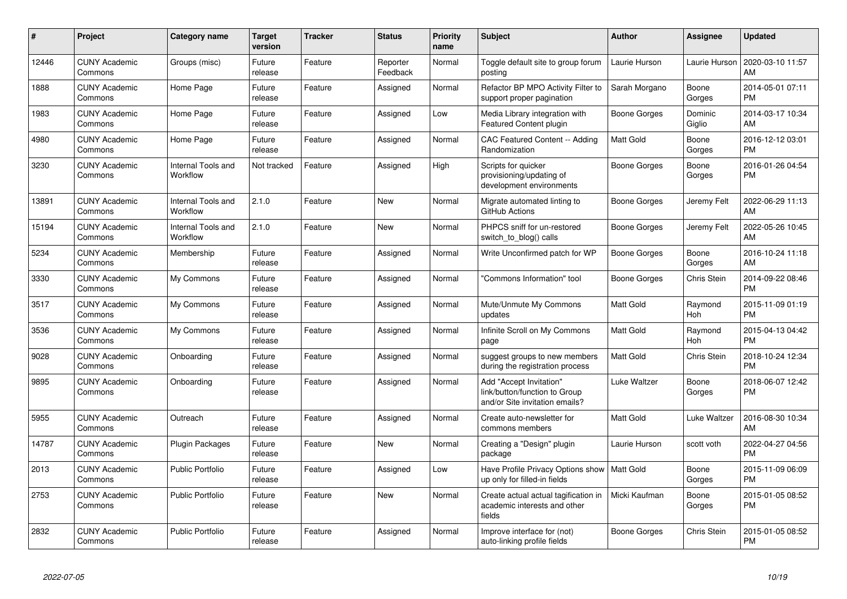| #     | <b>Project</b>                  | <b>Category name</b>           | <b>Target</b><br>version | <b>Tracker</b> | <b>Status</b>        | Priority<br>name | <b>Subject</b>                                                                             | <b>Author</b>       | Assignee          | <b>Updated</b>                |
|-------|---------------------------------|--------------------------------|--------------------------|----------------|----------------------|------------------|--------------------------------------------------------------------------------------------|---------------------|-------------------|-------------------------------|
| 12446 | <b>CUNY Academic</b><br>Commons | Groups (misc)                  | Future<br>release        | Feature        | Reporter<br>Feedback | Normal           | Toggle default site to group forum<br>posting                                              | Laurie Hurson       | Laurie Hurson     | 2020-03-10 11:57<br>AM        |
| 1888  | <b>CUNY Academic</b><br>Commons | Home Page                      | Future<br>release        | Feature        | Assigned             | Normal           | Refactor BP MPO Activity Filter to<br>support proper pagination                            | Sarah Morgano       | Boone<br>Gorges   | 2014-05-01 07:11<br><b>PM</b> |
| 1983  | <b>CUNY Academic</b><br>Commons | Home Page                      | Future<br>release        | Feature        | Assigned             | Low              | Media Library integration with<br>Featured Content plugin                                  | Boone Gorges        | Dominic<br>Giglio | 2014-03-17 10:34<br>AM        |
| 4980  | <b>CUNY Academic</b><br>Commons | Home Page                      | Future<br>release        | Feature        | Assigned             | Normal           | CAC Featured Content -- Adding<br>Randomization                                            | <b>Matt Gold</b>    | Boone<br>Gorges   | 2016-12-12 03:01<br><b>PM</b> |
| 3230  | <b>CUNY Academic</b><br>Commons | Internal Tools and<br>Workflow | Not tracked              | Feature        | Assigned             | High             | Scripts for quicker<br>provisioning/updating of<br>development environments                | Boone Gorges        | Boone<br>Gorges   | 2016-01-26 04:54<br><b>PM</b> |
| 13891 | <b>CUNY Academic</b><br>Commons | Internal Tools and<br>Workflow | 2.1.0                    | Feature        | <b>New</b>           | Normal           | Migrate automated linting to<br>GitHub Actions                                             | <b>Boone Gorges</b> | Jeremy Felt       | 2022-06-29 11:13<br>AM        |
| 15194 | <b>CUNY Academic</b><br>Commons | Internal Tools and<br>Workflow | 2.1.0                    | Feature        | <b>New</b>           | Normal           | PHPCS sniff for un-restored<br>switch_to_blog() calls                                      | Boone Gorges        | Jeremy Felt       | 2022-05-26 10:45<br>AM        |
| 5234  | <b>CUNY Academic</b><br>Commons | Membership                     | Future<br>release        | Feature        | Assigned             | Normal           | Write Unconfirmed patch for WP                                                             | Boone Gorges        | Boone<br>Gorges   | 2016-10-24 11:18<br>AM        |
| 3330  | <b>CUNY Academic</b><br>Commons | My Commons                     | Future<br>release        | Feature        | Assigned             | Normal           | 'Commons Information" tool                                                                 | Boone Gorges        | Chris Stein       | 2014-09-22 08:46<br><b>PM</b> |
| 3517  | <b>CUNY Academic</b><br>Commons | My Commons                     | Future<br>release        | Feature        | Assigned             | Normal           | Mute/Unmute My Commons<br>updates                                                          | <b>Matt Gold</b>    | Raymond<br>Hoh    | 2015-11-09 01:19<br><b>PM</b> |
| 3536  | <b>CUNY Academic</b><br>Commons | My Commons                     | Future<br>release        | Feature        | Assigned             | Normal           | Infinite Scroll on My Commons<br>page                                                      | <b>Matt Gold</b>    | Raymond<br>Hoh    | 2015-04-13 04:42<br><b>PM</b> |
| 9028  | <b>CUNY Academic</b><br>Commons | Onboarding                     | Future<br>release        | Feature        | Assigned             | Normal           | suggest groups to new members<br>during the registration process                           | <b>Matt Gold</b>    | Chris Stein       | 2018-10-24 12:34<br><b>PM</b> |
| 9895  | <b>CUNY Academic</b><br>Commons | Onboarding                     | Future<br>release        | Feature        | Assigned             | Normal           | Add "Accept Invitation"<br>link/button/function to Group<br>and/or Site invitation emails? | Luke Waltzer        | Boone<br>Gorges   | 2018-06-07 12:42<br><b>PM</b> |
| 5955  | <b>CUNY Academic</b><br>Commons | Outreach                       | Future<br>release        | Feature        | Assigned             | Normal           | Create auto-newsletter for<br>commons members                                              | <b>Matt Gold</b>    | Luke Waltzer      | 2016-08-30 10:34<br>AM        |
| 14787 | <b>CUNY Academic</b><br>Commons | <b>Plugin Packages</b>         | Future<br>release        | Feature        | New                  | Normal           | Creating a "Design" plugin<br>package                                                      | Laurie Hurson       | scott voth        | 2022-04-27 04:56<br><b>PM</b> |
| 2013  | <b>CUNY Academic</b><br>Commons | Public Portfolio               | Future<br>release        | Feature        | Assigned             | Low              | Have Profile Privacy Options show   Matt Gold<br>up only for filled-in fields              |                     | Boone<br>Gorges   | 2015-11-09 06:09<br><b>PM</b> |
| 2753  | <b>CUNY Academic</b><br>Commons | <b>Public Portfolio</b>        | Future<br>release        | Feature        | New                  | Normal           | Create actual actual tagification in<br>academic interests and other<br>fields             | Micki Kaufman       | Boone<br>Gorges   | 2015-01-05 08:52<br><b>PM</b> |
| 2832  | <b>CUNY Academic</b><br>Commons | <b>Public Portfolio</b>        | Future<br>release        | Feature        | Assigned             | Normal           | Improve interface for (not)<br>auto-linking profile fields                                 | Boone Gorges        | Chris Stein       | 2015-01-05 08:52<br><b>PM</b> |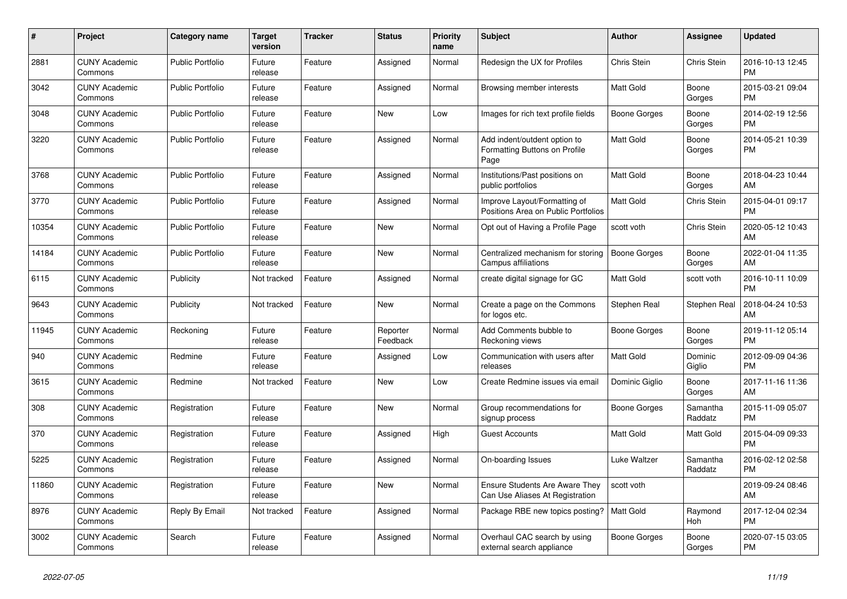| $\pmb{\#}$ | Project                         | Category name           | <b>Target</b><br>version | <b>Tracker</b> | <b>Status</b>        | Priority<br>name | <b>Subject</b>                                                        | <b>Author</b>       | Assignee            | <b>Updated</b>                |
|------------|---------------------------------|-------------------------|--------------------------|----------------|----------------------|------------------|-----------------------------------------------------------------------|---------------------|---------------------|-------------------------------|
| 2881       | <b>CUNY Academic</b><br>Commons | <b>Public Portfolio</b> | Future<br>release        | Feature        | Assigned             | Normal           | Redesign the UX for Profiles                                          | Chris Stein         | Chris Stein         | 2016-10-13 12:45<br><b>PM</b> |
| 3042       | <b>CUNY Academic</b><br>Commons | <b>Public Portfolio</b> | Future<br>release        | Feature        | Assigned             | Normal           | Browsing member interests                                             | Matt Gold           | Boone<br>Gorges     | 2015-03-21 09:04<br><b>PM</b> |
| 3048       | <b>CUNY Academic</b><br>Commons | <b>Public Portfolio</b> | Future<br>release        | Feature        | <b>New</b>           | Low              | Images for rich text profile fields                                   | Boone Gorges        | Boone<br>Gorges     | 2014-02-19 12:56<br><b>PM</b> |
| 3220       | <b>CUNY Academic</b><br>Commons | <b>Public Portfolio</b> | Future<br>release        | Feature        | Assigned             | Normal           | Add indent/outdent option to<br>Formatting Buttons on Profile<br>Page | <b>Matt Gold</b>    | Boone<br>Gorges     | 2014-05-21 10:39<br><b>PM</b> |
| 3768       | <b>CUNY Academic</b><br>Commons | <b>Public Portfolio</b> | Future<br>release        | Feature        | Assigned             | Normal           | Institutions/Past positions on<br>public portfolios                   | <b>Matt Gold</b>    | Boone<br>Gorges     | 2018-04-23 10:44<br>AM        |
| 3770       | <b>CUNY Academic</b><br>Commons | <b>Public Portfolio</b> | Future<br>release        | Feature        | Assigned             | Normal           | Improve Layout/Formatting of<br>Positions Area on Public Portfolios   | <b>Matt Gold</b>    | Chris Stein         | 2015-04-01 09:17<br><b>PM</b> |
| 10354      | <b>CUNY Academic</b><br>Commons | Public Portfolio        | Future<br>release        | Feature        | <b>New</b>           | Normal           | Opt out of Having a Profile Page                                      | scott voth          | <b>Chris Stein</b>  | 2020-05-12 10:43<br>AM        |
| 14184      | <b>CUNY Academic</b><br>Commons | <b>Public Portfolio</b> | Future<br>release        | Feature        | <b>New</b>           | Normal           | Centralized mechanism for storing<br>Campus affiliations              | <b>Boone Gorges</b> | Boone<br>Gorges     | 2022-01-04 11:35<br>AM        |
| 6115       | <b>CUNY Academic</b><br>Commons | Publicity               | Not tracked              | Feature        | Assigned             | Normal           | create digital signage for GC                                         | Matt Gold           | scott voth          | 2016-10-11 10:09<br><b>PM</b> |
| 9643       | <b>CUNY Academic</b><br>Commons | Publicity               | Not tracked              | Feature        | <b>New</b>           | Normal           | Create a page on the Commons<br>for logos etc.                        | Stephen Real        | Stephen Real        | 2018-04-24 10:53<br>AM        |
| 11945      | <b>CUNY Academic</b><br>Commons | Reckoning               | Future<br>release        | Feature        | Reporter<br>Feedback | Normal           | Add Comments bubble to<br>Reckoning views                             | Boone Gorges        | Boone<br>Gorges     | 2019-11-12 05:14<br><b>PM</b> |
| 940        | <b>CUNY Academic</b><br>Commons | Redmine                 | Future<br>release        | Feature        | Assigned             | Low              | Communication with users after<br>releases                            | <b>Matt Gold</b>    | Dominic<br>Giglio   | 2012-09-09 04:36<br><b>PM</b> |
| 3615       | <b>CUNY Academic</b><br>Commons | Redmine                 | Not tracked              | Feature        | <b>New</b>           | Low              | Create Redmine issues via email                                       | Dominic Giglio      | Boone<br>Gorges     | 2017-11-16 11:36<br>AM        |
| 308        | <b>CUNY Academic</b><br>Commons | Registration            | Future<br>release        | Feature        | <b>New</b>           | Normal           | Group recommendations for<br>signup process                           | Boone Gorges        | Samantha<br>Raddatz | 2015-11-09 05:07<br><b>PM</b> |
| 370        | <b>CUNY Academic</b><br>Commons | Registration            | Future<br>release        | Feature        | Assigned             | High             | <b>Guest Accounts</b>                                                 | Matt Gold           | Matt Gold           | 2015-04-09 09:33<br><b>PM</b> |
| 5225       | <b>CUNY Academic</b><br>Commons | Registration            | Future<br>release        | Feature        | Assigned             | Normal           | On-boarding Issues                                                    | Luke Waltzer        | Samantha<br>Raddatz | 2016-02-12 02:58<br><b>PM</b> |
| 11860      | <b>CUNY Academic</b><br>Commons | Registration            | Future<br>release        | Feature        | <b>New</b>           | Normal           | Ensure Students Are Aware They<br>Can Use Aliases At Registration     | scott voth          |                     | 2019-09-24 08:46<br>AM        |
| 8976       | <b>CUNY Academic</b><br>Commons | Reply By Email          | Not tracked              | Feature        | Assigned             | Normal           | Package RBE new topics posting?                                       | <b>Matt Gold</b>    | Raymond<br>Hoh      | 2017-12-04 02:34<br><b>PM</b> |
| 3002       | <b>CUNY Academic</b><br>Commons | Search                  | Future<br>release        | Feature        | Assigned             | Normal           | Overhaul CAC search by using<br>external search appliance             | Boone Gorges        | Boone<br>Gorges     | 2020-07-15 03:05<br><b>PM</b> |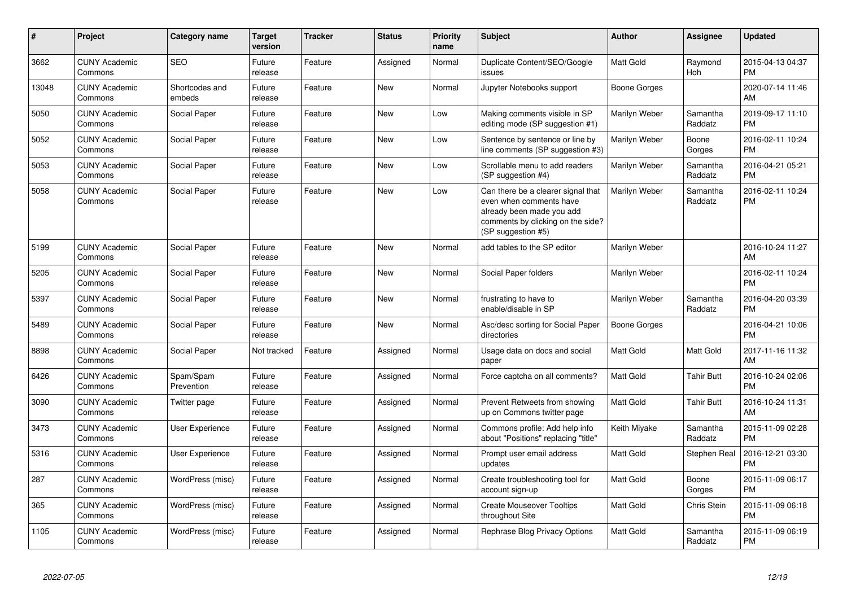| #     | Project                         | Category name            | <b>Target</b><br>version | <b>Tracker</b> | <b>Status</b> | Priority<br>name | <b>Subject</b>                                                                                                                                        | <b>Author</b>        | <b>Assignee</b>     | <b>Updated</b>                |
|-------|---------------------------------|--------------------------|--------------------------|----------------|---------------|------------------|-------------------------------------------------------------------------------------------------------------------------------------------------------|----------------------|---------------------|-------------------------------|
| 3662  | <b>CUNY Academic</b><br>Commons | <b>SEO</b>               | Future<br>release        | Feature        | Assigned      | Normal           | Duplicate Content/SEO/Google<br>issues                                                                                                                | <b>Matt Gold</b>     | Raymond<br>Hoh      | 2015-04-13 04:37<br><b>PM</b> |
| 13048 | <b>CUNY Academic</b><br>Commons | Shortcodes and<br>embeds | Future<br>release        | Feature        | New           | Normal           | Jupyter Notebooks support                                                                                                                             | Boone Gorges         |                     | 2020-07-14 11:46<br>AM        |
| 5050  | <b>CUNY Academic</b><br>Commons | Social Paper             | Future<br>release        | Feature        | New           | Low              | Making comments visible in SP<br>editing mode (SP suggestion #1)                                                                                      | Marilyn Weber        | Samantha<br>Raddatz | 2019-09-17 11:10<br><b>PM</b> |
| 5052  | <b>CUNY Academic</b><br>Commons | Social Paper             | Future<br>release        | Feature        | New           | Low              | Sentence by sentence or line by<br>line comments (SP suggestion #3)                                                                                   | Marilyn Weber        | Boone<br>Gorges     | 2016-02-11 10:24<br><b>PM</b> |
| 5053  | <b>CUNY Academic</b><br>Commons | Social Paper             | Future<br>release        | Feature        | New           | Low              | Scrollable menu to add readers<br>(SP suggestion #4)                                                                                                  | Marilyn Weber        | Samantha<br>Raddatz | 2016-04-21 05:21<br><b>PM</b> |
| 5058  | <b>CUNY Academic</b><br>Commons | Social Paper             | Future<br>release        | Feature        | New           | Low              | Can there be a clearer signal that<br>even when comments have<br>already been made you add<br>comments by clicking on the side?<br>(SP suggestion #5) | <b>Marilyn Weber</b> | Samantha<br>Raddatz | 2016-02-11 10:24<br><b>PM</b> |
| 5199  | <b>CUNY Academic</b><br>Commons | <b>Social Paper</b>      | Future<br>release        | Feature        | New           | Normal           | add tables to the SP editor                                                                                                                           | Marilyn Weber        |                     | 2016-10-24 11:27<br>AM        |
| 5205  | <b>CUNY Academic</b><br>Commons | Social Paper             | Future<br>release        | Feature        | New           | Normal           | Social Paper folders                                                                                                                                  | Marilyn Weber        |                     | 2016-02-11 10:24<br><b>PM</b> |
| 5397  | <b>CUNY Academic</b><br>Commons | Social Paper             | Future<br>release        | Feature        | <b>New</b>    | Normal           | frustrating to have to<br>enable/disable in SP                                                                                                        | Marilyn Weber        | Samantha<br>Raddatz | 2016-04-20 03:39<br><b>PM</b> |
| 5489  | <b>CUNY Academic</b><br>Commons | Social Paper             | Future<br>release        | Feature        | <b>New</b>    | Normal           | Asc/desc sorting for Social Paper<br>directories                                                                                                      | <b>Boone Gorges</b>  |                     | 2016-04-21 10:06<br><b>PM</b> |
| 8898  | <b>CUNY Academic</b><br>Commons | Social Paper             | Not tracked              | Feature        | Assigned      | Normal           | Usage data on docs and social<br>paper                                                                                                                | <b>Matt Gold</b>     | Matt Gold           | 2017-11-16 11:32<br>AM        |
| 6426  | <b>CUNY Academic</b><br>Commons | Spam/Spam<br>Prevention  | Future<br>release        | Feature        | Assigned      | Normal           | Force captcha on all comments?                                                                                                                        | <b>Matt Gold</b>     | <b>Tahir Butt</b>   | 2016-10-24 02:06<br><b>PM</b> |
| 3090  | <b>CUNY Academic</b><br>Commons | Twitter page             | Future<br>release        | Feature        | Assigned      | Normal           | Prevent Retweets from showing<br>up on Commons twitter page                                                                                           | <b>Matt Gold</b>     | <b>Tahir Butt</b>   | 2016-10-24 11:31<br>AM        |
| 3473  | <b>CUNY Academic</b><br>Commons | User Experience          | Future<br>release        | Feature        | Assigned      | Normal           | Commons profile: Add help info<br>about "Positions" replacing "title"                                                                                 | Keith Miyake         | Samantha<br>Raddatz | 2015-11-09 02:28<br><b>PM</b> |
| 5316  | <b>CUNY Academic</b><br>Commons | User Experience          | Future<br>release        | Feature        | Assigned      | Normal           | Prompt user email address<br>updates                                                                                                                  | Matt Gold            | Stephen Real        | 2016-12-21 03:30<br><b>PM</b> |
| 287   | <b>CUNY Academic</b><br>Commons | WordPress (misc)         | Future<br>release        | Feature        | Assigned      | Normal           | Create troubleshooting tool for<br>account sign-up                                                                                                    | <b>Matt Gold</b>     | Boone<br>Gorges     | 2015-11-09 06:17<br><b>PM</b> |
| 365   | <b>CUNY Academic</b><br>Commons | WordPress (misc)         | Future<br>release        | Feature        | Assigned      | Normal           | <b>Create Mouseover Tooltips</b><br>throughout Site                                                                                                   | <b>Matt Gold</b>     | Chris Stein         | 2015-11-09 06:18<br><b>PM</b> |
| 1105  | <b>CUNY Academic</b><br>Commons | WordPress (misc)         | Future<br>release        | Feature        | Assigned      | Normal           | Rephrase Blog Privacy Options                                                                                                                         | <b>Matt Gold</b>     | Samantha<br>Raddatz | 2015-11-09 06:19<br><b>PM</b> |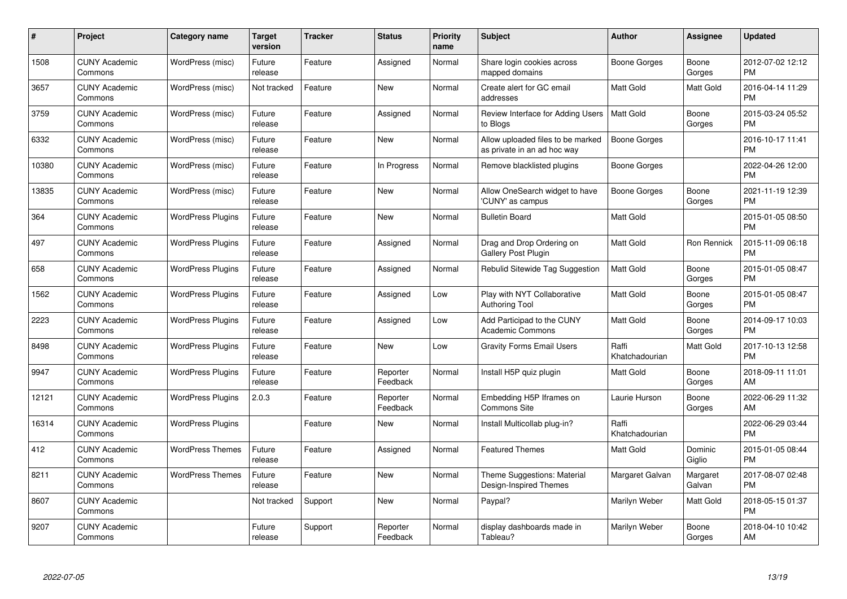| $\#$  | Project                         | <b>Category name</b>     | <b>Target</b><br>version | <b>Tracker</b> | <b>Status</b>        | <b>Priority</b><br>name | <b>Subject</b>                                                   | <b>Author</b>           | <b>Assignee</b>    | <b>Updated</b>                |
|-------|---------------------------------|--------------------------|--------------------------|----------------|----------------------|-------------------------|------------------------------------------------------------------|-------------------------|--------------------|-------------------------------|
| 1508  | <b>CUNY Academic</b><br>Commons | WordPress (misc)         | Future<br>release        | Feature        | Assigned             | Normal                  | Share login cookies across<br>mapped domains                     | Boone Gorges            | Boone<br>Gorges    | 2012-07-02 12:12<br><b>PM</b> |
| 3657  | <b>CUNY Academic</b><br>Commons | WordPress (misc)         | Not tracked              | Feature        | <b>New</b>           | Normal                  | Create alert for GC email<br>addresses                           | <b>Matt Gold</b>        | Matt Gold          | 2016-04-14 11:29<br><b>PM</b> |
| 3759  | <b>CUNY Academic</b><br>Commons | WordPress (misc)         | Future<br>release        | Feature        | Assigned             | Normal                  | Review Interface for Adding Users<br>to Blogs                    | <b>Matt Gold</b>        | Boone<br>Gorges    | 2015-03-24 05:52<br><b>PM</b> |
| 6332  | <b>CUNY Academic</b><br>Commons | WordPress (misc)         | Future<br>release        | Feature        | <b>New</b>           | Normal                  | Allow uploaded files to be marked<br>as private in an ad hoc way | Boone Gorges            |                    | 2016-10-17 11:41<br><b>PM</b> |
| 10380 | <b>CUNY Academic</b><br>Commons | WordPress (misc)         | Future<br>release        | Feature        | In Progress          | Normal                  | Remove blacklisted plugins                                       | Boone Gorges            |                    | 2022-04-26 12:00<br><b>PM</b> |
| 13835 | <b>CUNY Academic</b><br>Commons | WordPress (misc)         | Future<br>release        | Feature        | <b>New</b>           | Normal                  | Allow OneSearch widget to have<br>'CUNY' as campus               | Boone Gorges            | Boone<br>Gorges    | 2021-11-19 12:39<br><b>PM</b> |
| 364   | <b>CUNY Academic</b><br>Commons | <b>WordPress Plugins</b> | Future<br>release        | Feature        | <b>New</b>           | Normal                  | <b>Bulletin Board</b>                                            | Matt Gold               |                    | 2015-01-05 08:50<br><b>PM</b> |
| 497   | <b>CUNY Academic</b><br>Commons | <b>WordPress Plugins</b> | Future<br>release        | Feature        | Assigned             | Normal                  | Drag and Drop Ordering on<br><b>Gallery Post Plugin</b>          | <b>Matt Gold</b>        | Ron Rennick        | 2015-11-09 06:18<br><b>PM</b> |
| 658   | <b>CUNY Academic</b><br>Commons | <b>WordPress Plugins</b> | Future<br>release        | Feature        | Assigned             | Normal                  | Rebulid Sitewide Tag Suggestion                                  | <b>Matt Gold</b>        | Boone<br>Gorges    | 2015-01-05 08:47<br><b>PM</b> |
| 1562  | <b>CUNY Academic</b><br>Commons | <b>WordPress Plugins</b> | Future<br>release        | Feature        | Assigned             | Low                     | Play with NYT Collaborative<br><b>Authoring Tool</b>             | <b>Matt Gold</b>        | Boone<br>Gorges    | 2015-01-05 08:47<br><b>PM</b> |
| 2223  | <b>CUNY Academic</b><br>Commons | <b>WordPress Plugins</b> | Future<br>release        | Feature        | Assigned             | Low                     | Add Participad to the CUNY<br><b>Academic Commons</b>            | <b>Matt Gold</b>        | Boone<br>Gorges    | 2014-09-17 10:03<br><b>PM</b> |
| 8498  | <b>CUNY Academic</b><br>Commons | <b>WordPress Plugins</b> | Future<br>release        | Feature        | <b>New</b>           | Low                     | <b>Gravity Forms Email Users</b>                                 | Raffi<br>Khatchadourian | Matt Gold          | 2017-10-13 12:58<br><b>PM</b> |
| 9947  | <b>CUNY Academic</b><br>Commons | <b>WordPress Plugins</b> | Future<br>release        | Feature        | Reporter<br>Feedback | Normal                  | Install H5P quiz plugin                                          | <b>Matt Gold</b>        | Boone<br>Gorges    | 2018-09-11 11:01<br>AM        |
| 12121 | <b>CUNY Academic</b><br>Commons | <b>WordPress Plugins</b> | 2.0.3                    | Feature        | Reporter<br>Feedback | Normal                  | Embedding H5P Iframes on<br>Commons Site                         | Laurie Hurson           | Boone<br>Gorges    | 2022-06-29 11:32<br>AM        |
| 16314 | <b>CUNY Academic</b><br>Commons | <b>WordPress Plugins</b> |                          | Feature        | <b>New</b>           | Normal                  | Install Multicollab plug-in?                                     | Raffi<br>Khatchadourian |                    | 2022-06-29 03:44<br><b>PM</b> |
| 412   | <b>CUNY Academic</b><br>Commons | <b>WordPress Themes</b>  | Future<br>release        | Feature        | Assigned             | Normal                  | <b>Featured Themes</b>                                           | Matt Gold               | Dominic<br>Giglio  | 2015-01-05 08:44<br><b>PM</b> |
| 8211  | <b>CUNY Academic</b><br>Commons | <b>WordPress Themes</b>  | Future<br>release        | Feature        | New                  | Normal                  | Theme Suggestions: Material<br>Design-Inspired Themes            | Margaret Galvan         | Margaret<br>Galvan | 2017-08-07 02:48<br><b>PM</b> |
| 8607  | <b>CUNY Academic</b><br>Commons |                          | Not tracked              | Support        | New                  | Normal                  | Paypal?                                                          | Marilyn Weber           | Matt Gold          | 2018-05-15 01:37<br><b>PM</b> |
| 9207  | <b>CUNY Academic</b><br>Commons |                          | Future<br>release        | Support        | Reporter<br>Feedback | Normal                  | display dashboards made in<br>Tableau?                           | Marilyn Weber           | Boone<br>Gorges    | 2018-04-10 10:42<br>AM        |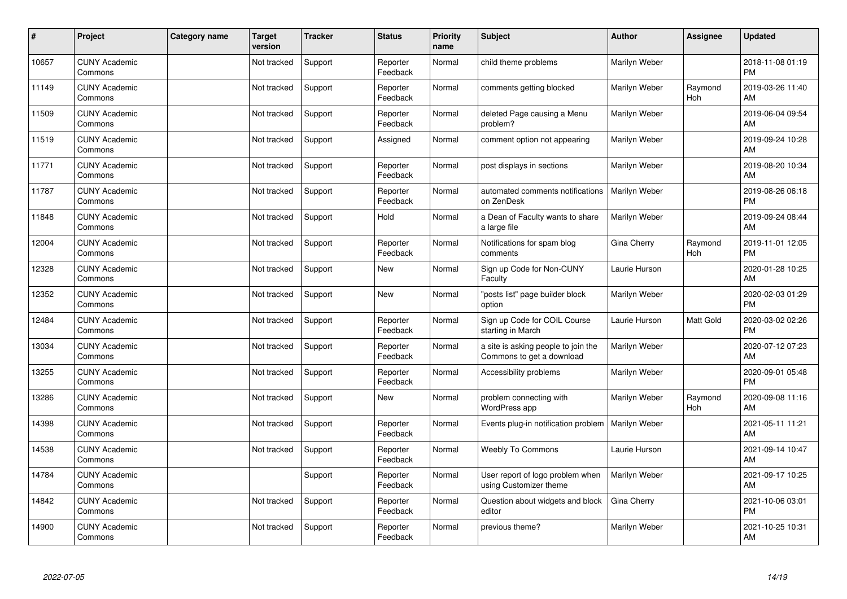| #     | Project                         | <b>Category name</b> | <b>Target</b><br>version | <b>Tracker</b> | <b>Status</b>        | <b>Priority</b><br>name | <b>Subject</b>                                                   | <b>Author</b> | <b>Assignee</b> | <b>Updated</b>                |
|-------|---------------------------------|----------------------|--------------------------|----------------|----------------------|-------------------------|------------------------------------------------------------------|---------------|-----------------|-------------------------------|
| 10657 | <b>CUNY Academic</b><br>Commons |                      | Not tracked              | Support        | Reporter<br>Feedback | Normal                  | child theme problems                                             | Marilyn Weber |                 | 2018-11-08 01:19<br><b>PM</b> |
| 11149 | <b>CUNY Academic</b><br>Commons |                      | Not tracked              | Support        | Reporter<br>Feedback | Normal                  | comments getting blocked                                         | Marilyn Weber | Raymond<br>Hoh  | 2019-03-26 11:40<br>AM        |
| 11509 | <b>CUNY Academic</b><br>Commons |                      | Not tracked              | Support        | Reporter<br>Feedback | Normal                  | deleted Page causing a Menu<br>problem?                          | Marilyn Weber |                 | 2019-06-04 09:54<br>AM        |
| 11519 | <b>CUNY Academic</b><br>Commons |                      | Not tracked              | Support        | Assigned             | Normal                  | comment option not appearing                                     | Marilyn Weber |                 | 2019-09-24 10:28<br>AM        |
| 11771 | <b>CUNY Academic</b><br>Commons |                      | Not tracked              | Support        | Reporter<br>Feedback | Normal                  | post displays in sections                                        | Marilyn Weber |                 | 2019-08-20 10:34<br>AM        |
| 11787 | <b>CUNY Academic</b><br>Commons |                      | Not tracked              | Support        | Reporter<br>Feedback | Normal                  | automated comments notifications<br>on ZenDesk                   | Marilyn Weber |                 | 2019-08-26 06:18<br><b>PM</b> |
| 11848 | <b>CUNY Academic</b><br>Commons |                      | Not tracked              | Support        | Hold                 | Normal                  | a Dean of Faculty wants to share<br>a large file                 | Marilyn Weber |                 | 2019-09-24 08:44<br>AM        |
| 12004 | <b>CUNY Academic</b><br>Commons |                      | Not tracked              | Support        | Reporter<br>Feedback | Normal                  | Notifications for spam blog<br>comments                          | Gina Cherry   | Raymond<br>Hoh  | 2019-11-01 12:05<br><b>PM</b> |
| 12328 | <b>CUNY Academic</b><br>Commons |                      | Not tracked              | Support        | New                  | Normal                  | Sign up Code for Non-CUNY<br>Faculty                             | Laurie Hurson |                 | 2020-01-28 10:25<br>AM        |
| 12352 | <b>CUNY Academic</b><br>Commons |                      | Not tracked              | Support        | <b>New</b>           | Normal                  | "posts list" page builder block<br>option                        | Marilyn Weber |                 | 2020-02-03 01:29<br><b>PM</b> |
| 12484 | <b>CUNY Academic</b><br>Commons |                      | Not tracked              | Support        | Reporter<br>Feedback | Normal                  | Sign up Code for COIL Course<br>starting in March                | Laurie Hurson | Matt Gold       | 2020-03-02 02:26<br><b>PM</b> |
| 13034 | <b>CUNY Academic</b><br>Commons |                      | Not tracked              | Support        | Reporter<br>Feedback | Normal                  | a site is asking people to join the<br>Commons to get a download | Marilyn Weber |                 | 2020-07-12 07:23<br>AM        |
| 13255 | <b>CUNY Academic</b><br>Commons |                      | Not tracked              | Support        | Reporter<br>Feedback | Normal                  | Accessibility problems                                           | Marilyn Weber |                 | 2020-09-01 05:48<br><b>PM</b> |
| 13286 | <b>CUNY Academic</b><br>Commons |                      | Not tracked              | Support        | New                  | Normal                  | problem connecting with<br>WordPress app                         | Marilyn Weber | Raymond<br>Hoh  | 2020-09-08 11:16<br>AM        |
| 14398 | <b>CUNY Academic</b><br>Commons |                      | Not tracked              | Support        | Reporter<br>Feedback | Normal                  | Events plug-in notification problem                              | Marilyn Weber |                 | 2021-05-11 11:21<br>AM        |
| 14538 | <b>CUNY Academic</b><br>Commons |                      | Not tracked              | Support        | Reporter<br>Feedback | Normal                  | <b>Weebly To Commons</b>                                         | Laurie Hurson |                 | 2021-09-14 10:47<br>AM        |
| 14784 | <b>CUNY Academic</b><br>Commons |                      |                          | Support        | Reporter<br>Feedback | Normal                  | User report of logo problem when<br>using Customizer theme       | Marilyn Weber |                 | 2021-09-17 10:25<br>AM        |
| 14842 | <b>CUNY Academic</b><br>Commons |                      | Not tracked              | Support        | Reporter<br>Feedback | Normal                  | Question about widgets and block<br>editor                       | Gina Cherry   |                 | 2021-10-06 03:01<br><b>PM</b> |
| 14900 | <b>CUNY Academic</b><br>Commons |                      | Not tracked              | Support        | Reporter<br>Feedback | Normal                  | previous theme?                                                  | Marilyn Weber |                 | 2021-10-25 10:31<br>AM        |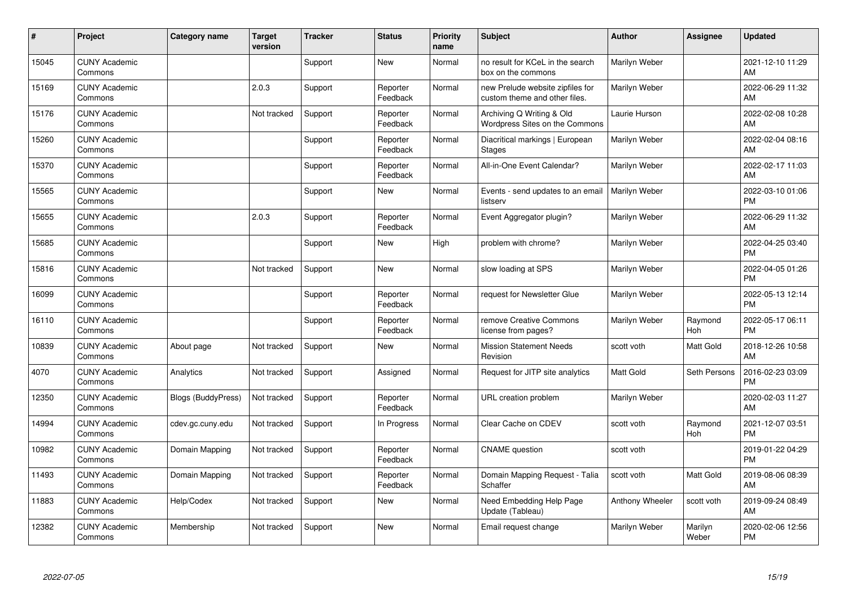| #     | Project                         | Category name             | <b>Target</b><br>version | <b>Tracker</b> | <b>Status</b>        | Priority<br>name | <b>Subject</b>                                                    | <b>Author</b>    | <b>Assignee</b>  | <b>Updated</b>                |
|-------|---------------------------------|---------------------------|--------------------------|----------------|----------------------|------------------|-------------------------------------------------------------------|------------------|------------------|-------------------------------|
| 15045 | <b>CUNY Academic</b><br>Commons |                           |                          | Support        | <b>New</b>           | Normal           | no result for KCeL in the search<br>box on the commons            | Marilyn Weber    |                  | 2021-12-10 11:29<br>AM        |
| 15169 | <b>CUNY Academic</b><br>Commons |                           | 2.0.3                    | Support        | Reporter<br>Feedback | Normal           | new Prelude website zipfiles for<br>custom theme and other files. | Marilyn Weber    |                  | 2022-06-29 11:32<br>AM        |
| 15176 | <b>CUNY Academic</b><br>Commons |                           | Not tracked              | Support        | Reporter<br>Feedback | Normal           | Archiving Q Writing & Old<br>Wordpress Sites on the Commons       | Laurie Hurson    |                  | 2022-02-08 10:28<br>AM        |
| 15260 | <b>CUNY Academic</b><br>Commons |                           |                          | Support        | Reporter<br>Feedback | Normal           | Diacritical markings   European<br><b>Stages</b>                  | Marilyn Weber    |                  | 2022-02-04 08:16<br>AM        |
| 15370 | <b>CUNY Academic</b><br>Commons |                           |                          | Support        | Reporter<br>Feedback | Normal           | All-in-One Event Calendar?                                        | Marilyn Weber    |                  | 2022-02-17 11:03<br>AM        |
| 15565 | <b>CUNY Academic</b><br>Commons |                           |                          | Support        | <b>New</b>           | Normal           | Events - send updates to an email<br>listserv                     | Marilyn Weber    |                  | 2022-03-10 01:06<br><b>PM</b> |
| 15655 | <b>CUNY Academic</b><br>Commons |                           | 2.0.3                    | Support        | Reporter<br>Feedback | Normal           | Event Aggregator plugin?                                          | Marilyn Weber    |                  | 2022-06-29 11:32<br>AM        |
| 15685 | <b>CUNY Academic</b><br>Commons |                           |                          | Support        | New                  | High             | problem with chrome?                                              | Marilyn Weber    |                  | 2022-04-25 03:40<br><b>PM</b> |
| 15816 | <b>CUNY Academic</b><br>Commons |                           | Not tracked              | Support        | New                  | Normal           | slow loading at SPS                                               | Marilyn Weber    |                  | 2022-04-05 01:26<br><b>PM</b> |
| 16099 | <b>CUNY Academic</b><br>Commons |                           |                          | Support        | Reporter<br>Feedback | Normal           | request for Newsletter Glue                                       | Marilyn Weber    |                  | 2022-05-13 12:14<br><b>PM</b> |
| 16110 | <b>CUNY Academic</b><br>Commons |                           |                          | Support        | Reporter<br>Feedback | Normal           | remove Creative Commons<br>license from pages?                    | Marilyn Weber    | Raymond<br>Hoh   | 2022-05-17 06:11<br><b>PM</b> |
| 10839 | <b>CUNY Academic</b><br>Commons | About page                | Not tracked              | Support        | New                  | Normal           | <b>Mission Statement Needs</b><br>Revision                        | scott voth       | Matt Gold        | 2018-12-26 10:58<br>AM        |
| 4070  | <b>CUNY Academic</b><br>Commons | Analytics                 | Not tracked              | Support        | Assigned             | Normal           | Request for JITP site analytics                                   | <b>Matt Gold</b> | Seth Persons     | 2016-02-23 03:09<br><b>PM</b> |
| 12350 | <b>CUNY Academic</b><br>Commons | <b>Blogs (BuddyPress)</b> | Not tracked              | Support        | Reporter<br>Feedback | Normal           | URL creation problem                                              | Marilyn Weber    |                  | 2020-02-03 11:27<br>AM        |
| 14994 | <b>CUNY Academic</b><br>Commons | cdev.gc.cuny.edu          | Not tracked              | Support        | In Progress          | Normal           | Clear Cache on CDEV                                               | scott voth       | Raymond<br>Hoh   | 2021-12-07 03:51<br><b>PM</b> |
| 10982 | <b>CUNY Academic</b><br>Commons | Domain Mapping            | Not tracked              | Support        | Reporter<br>Feedback | Normal           | <b>CNAME</b> question                                             | scott voth       |                  | 2019-01-22 04:29<br><b>PM</b> |
| 11493 | <b>CUNY Academic</b><br>Commons | Domain Mapping            | Not tracked              | Support        | Reporter<br>Feedback | Normal           | Domain Mapping Request - Talia<br>Schaffer                        | scott voth       | Matt Gold        | 2019-08-06 08:39<br>AM        |
| 11883 | <b>CUNY Academic</b><br>Commons | Help/Codex                | Not tracked              | Support        | New                  | Normal           | Need Embedding Help Page<br>Update (Tableau)                      | Anthony Wheeler  | scott voth       | 2019-09-24 08:49<br>AM        |
| 12382 | <b>CUNY Academic</b><br>Commons | Membership                | Not tracked              | Support        | <b>New</b>           | Normal           | Email request change                                              | Marilyn Weber    | Marilyn<br>Weber | 2020-02-06 12:56<br><b>PM</b> |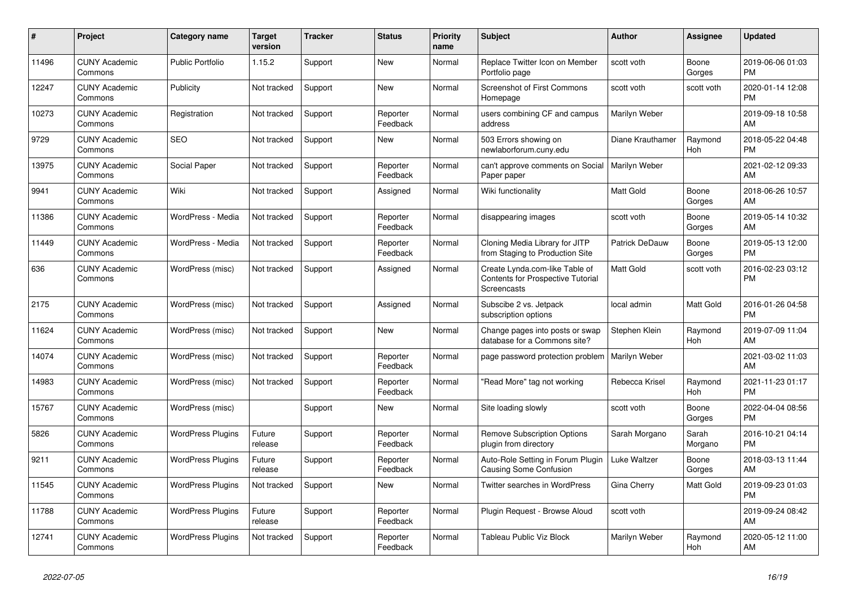| #     | Project                         | <b>Category name</b>     | <b>Target</b><br>version | <b>Tracker</b> | <b>Status</b>        | <b>Priority</b><br>name | <b>Subject</b>                                                                            | <b>Author</b>         | Assignee         | <b>Updated</b>                |
|-------|---------------------------------|--------------------------|--------------------------|----------------|----------------------|-------------------------|-------------------------------------------------------------------------------------------|-----------------------|------------------|-------------------------------|
| 11496 | <b>CUNY Academic</b><br>Commons | <b>Public Portfolio</b>  | 1.15.2                   | Support        | <b>New</b>           | Normal                  | Replace Twitter Icon on Member<br>Portfolio page                                          | scott voth            | Boone<br>Gorges  | 2019-06-06 01:03<br><b>PM</b> |
| 12247 | <b>CUNY Academic</b><br>Commons | Publicity                | Not tracked              | Support        | <b>New</b>           | Normal                  | <b>Screenshot of First Commons</b><br>Homepage                                            | scott voth            | scott voth       | 2020-01-14 12:08<br><b>PM</b> |
| 10273 | <b>CUNY Academic</b><br>Commons | Registration             | Not tracked              | Support        | Reporter<br>Feedback | Normal                  | users combining CF and campus<br>address                                                  | Marilyn Weber         |                  | 2019-09-18 10:58<br>AM        |
| 9729  | <b>CUNY Academic</b><br>Commons | <b>SEO</b>               | Not tracked              | Support        | <b>New</b>           | Normal                  | 503 Errors showing on<br>newlaborforum.cuny.edu                                           | Diane Krauthamer      | Raymond<br>Hoh   | 2018-05-22 04:48<br><b>PM</b> |
| 13975 | <b>CUNY Academic</b><br>Commons | Social Paper             | Not tracked              | Support        | Reporter<br>Feedback | Normal                  | can't approve comments on Social<br>Paper paper                                           | Marilyn Weber         |                  | 2021-02-12 09:33<br>AM        |
| 9941  | <b>CUNY Academic</b><br>Commons | Wiki                     | Not tracked              | Support        | Assigned             | Normal                  | Wiki functionality                                                                        | Matt Gold             | Boone<br>Gorges  | 2018-06-26 10:57<br>AM        |
| 11386 | <b>CUNY Academic</b><br>Commons | WordPress - Media        | Not tracked              | Support        | Reporter<br>Feedback | Normal                  | disappearing images                                                                       | scott voth            | Boone<br>Gorges  | 2019-05-14 10:32<br>AM        |
| 11449 | <b>CUNY Academic</b><br>Commons | WordPress - Media        | Not tracked              | Support        | Reporter<br>Feedback | Normal                  | Cloning Media Library for JITP<br>from Staging to Production Site                         | <b>Patrick DeDauw</b> | Boone<br>Gorges  | 2019-05-13 12:00<br><b>PM</b> |
| 636   | <b>CUNY Academic</b><br>Commons | WordPress (misc)         | Not tracked              | Support        | Assigned             | Normal                  | Create Lynda.com-like Table of<br><b>Contents for Prospective Tutorial</b><br>Screencasts | Matt Gold             | scott voth       | 2016-02-23 03:12<br><b>PM</b> |
| 2175  | <b>CUNY Academic</b><br>Commons | WordPress (misc)         | Not tracked              | Support        | Assigned             | Normal                  | Subscibe 2 vs. Jetpack<br>subscription options                                            | local admin           | Matt Gold        | 2016-01-26 04:58<br><b>PM</b> |
| 11624 | <b>CUNY Academic</b><br>Commons | WordPress (misc)         | Not tracked              | Support        | New                  | Normal                  | Change pages into posts or swap<br>database for a Commons site?                           | Stephen Klein         | Raymond<br>Hoh   | 2019-07-09 11:04<br>AM        |
| 14074 | <b>CUNY Academic</b><br>Commons | WordPress (misc)         | Not tracked              | Support        | Reporter<br>Feedback | Normal                  | page password protection problem   Marilyn Weber                                          |                       |                  | 2021-03-02 11:03<br>AM        |
| 14983 | <b>CUNY Academic</b><br>Commons | WordPress (misc)         | Not tracked              | Support        | Reporter<br>Feedback | Normal                  | 'Read More" tag not working                                                               | Rebecca Krisel        | Raymond<br>Hoh   | 2021-11-23 01:17<br><b>PM</b> |
| 15767 | <b>CUNY Academic</b><br>Commons | WordPress (misc)         |                          | Support        | New                  | Normal                  | Site loading slowly                                                                       | scott voth            | Boone<br>Gorges  | 2022-04-04 08:56<br><b>PM</b> |
| 5826  | <b>CUNY Academic</b><br>Commons | <b>WordPress Plugins</b> | Future<br>release        | Support        | Reporter<br>Feedback | Normal                  | <b>Remove Subscription Options</b><br>plugin from directory                               | Sarah Morgano         | Sarah<br>Morgano | 2016-10-21 04:14<br><b>PM</b> |
| 9211  | <b>CUNY Academic</b><br>Commons | <b>WordPress Plugins</b> | Future<br>release        | Support        | Reporter<br>Feedback | Normal                  | Auto-Role Setting in Forum Plugin<br>Causing Some Confusion                               | Luke Waltzer          | Boone<br>Gorges  | 2018-03-13 11:44<br>AM        |
| 11545 | <b>CUNY Academic</b><br>Commons | <b>WordPress Plugins</b> | Not tracked              | Support        | <b>New</b>           | Normal                  | <b>Twitter searches in WordPress</b>                                                      | Gina Cherry           | Matt Gold        | 2019-09-23 01:03<br><b>PM</b> |
| 11788 | <b>CUNY Academic</b><br>Commons | <b>WordPress Plugins</b> | Future<br>release        | Support        | Reporter<br>Feedback | Normal                  | Plugin Request - Browse Aloud                                                             | scott voth            |                  | 2019-09-24 08:42<br>AM        |
| 12741 | <b>CUNY Academic</b><br>Commons | <b>WordPress Plugins</b> | Not tracked              | Support        | Reporter<br>Feedback | Normal                  | Tableau Public Viz Block                                                                  | Marilyn Weber         | Raymond<br>Hoh   | 2020-05-12 11:00<br>AM        |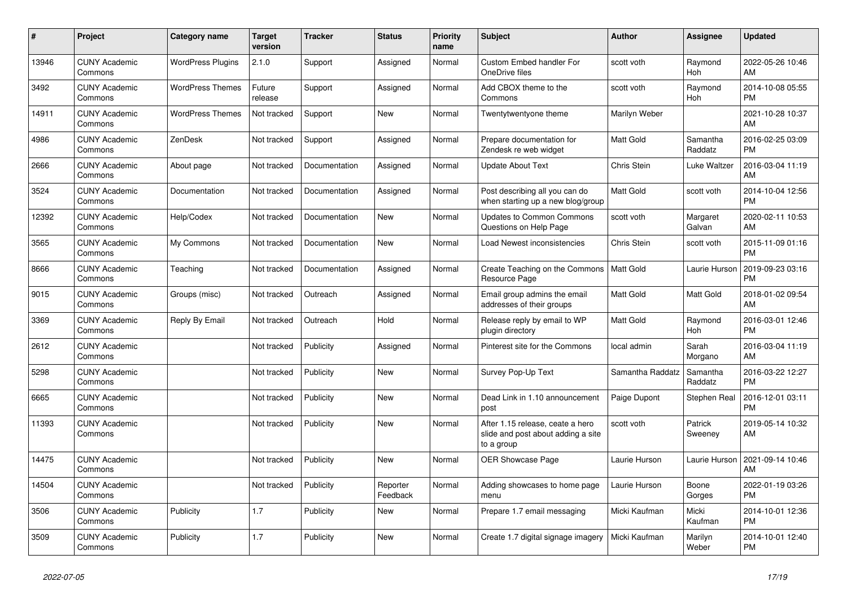| $\pmb{\#}$ | Project                         | <b>Category name</b>     | <b>Target</b><br>version | <b>Tracker</b> | <b>Status</b>        | <b>Priority</b><br>name | <b>Subject</b>                                                                       | <b>Author</b>    | Assignee            | <b>Updated</b>                |
|------------|---------------------------------|--------------------------|--------------------------|----------------|----------------------|-------------------------|--------------------------------------------------------------------------------------|------------------|---------------------|-------------------------------|
| 13946      | <b>CUNY Academic</b><br>Commons | <b>WordPress Plugins</b> | 2.1.0                    | Support        | Assigned             | Normal                  | <b>Custom Embed handler For</b><br>OneDrive files                                    | scott voth       | Raymond<br>Hoh      | 2022-05-26 10:46<br>AM        |
| 3492       | <b>CUNY Academic</b><br>Commons | <b>WordPress Themes</b>  | Future<br>release        | Support        | Assigned             | Normal                  | Add CBOX theme to the<br>Commons                                                     | scott voth       | Raymond<br>Hoh      | 2014-10-08 05:55<br><b>PM</b> |
| 14911      | <b>CUNY Academic</b><br>Commons | <b>WordPress Themes</b>  | Not tracked              | Support        | New                  | Normal                  | Twentytwentyone theme                                                                | Marilyn Weber    |                     | 2021-10-28 10:37<br>AM        |
| 4986       | <b>CUNY Academic</b><br>Commons | ZenDesk                  | Not tracked              | Support        | Assigned             | Normal                  | Prepare documentation for<br>Zendesk re web widget                                   | <b>Matt Gold</b> | Samantha<br>Raddatz | 2016-02-25 03:09<br><b>PM</b> |
| 2666       | <b>CUNY Academic</b><br>Commons | About page               | Not tracked              | Documentation  | Assigned             | Normal                  | <b>Update About Text</b>                                                             | Chris Stein      | Luke Waltzer        | 2016-03-04 11:19<br>AM        |
| 3524       | <b>CUNY Academic</b><br>Commons | Documentation            | Not tracked              | Documentation  | Assigned             | Normal                  | Post describing all you can do<br>when starting up a new blog/group                  | Matt Gold        | scott voth          | 2014-10-04 12:56<br><b>PM</b> |
| 12392      | <b>CUNY Academic</b><br>Commons | Help/Codex               | Not tracked              | Documentation  | <b>New</b>           | Normal                  | <b>Updates to Common Commons</b><br>Questions on Help Page                           | scott voth       | Margaret<br>Galvan  | 2020-02-11 10:53<br>AM        |
| 3565       | <b>CUNY Academic</b><br>Commons | My Commons               | Not tracked              | Documentation  | <b>New</b>           | Normal                  | Load Newest inconsistencies                                                          | Chris Stein      | scott voth          | 2015-11-09 01:16<br><b>PM</b> |
| 8666       | <b>CUNY Academic</b><br>Commons | Teaching                 | Not tracked              | Documentation  | Assigned             | Normal                  | Create Teaching on the Commons<br>Resource Page                                      | <b>Matt Gold</b> | Laurie Hurson       | 2019-09-23 03:16<br><b>PM</b> |
| 9015       | <b>CUNY Academic</b><br>Commons | Groups (misc)            | Not tracked              | Outreach       | Assigned             | Normal                  | Email group admins the email<br>addresses of their groups                            | Matt Gold        | Matt Gold           | 2018-01-02 09:54<br>AM        |
| 3369       | <b>CUNY Academic</b><br>Commons | Reply By Email           | Not tracked              | Outreach       | Hold                 | Normal                  | Release reply by email to WP<br>plugin directory                                     | Matt Gold        | Raymond<br>Hoh      | 2016-03-01 12:46<br><b>PM</b> |
| 2612       | <b>CUNY Academic</b><br>Commons |                          | Not tracked              | Publicity      | Assigned             | Normal                  | Pinterest site for the Commons                                                       | local admin      | Sarah<br>Morgano    | 2016-03-04 11:19<br>AM        |
| 5298       | <b>CUNY Academic</b><br>Commons |                          | Not tracked              | Publicity      | New                  | Normal                  | Survey Pop-Up Text                                                                   | Samantha Raddatz | Samantha<br>Raddatz | 2016-03-22 12:27<br><b>PM</b> |
| 6665       | <b>CUNY Academic</b><br>Commons |                          | Not tracked              | Publicity      | <b>New</b>           | Normal                  | Dead Link in 1.10 announcement<br>post                                               | Paige Dupont     | Stephen Real        | 2016-12-01 03:11<br><b>PM</b> |
| 11393      | <b>CUNY Academic</b><br>Commons |                          | Not tracked              | Publicity      | New                  | Normal                  | After 1.15 release, ceate a hero<br>slide and post about adding a site<br>to a group | scott voth       | Patrick<br>Sweeney  | 2019-05-14 10:32<br>AM        |
| 14475      | <b>CUNY Academic</b><br>Commons |                          | Not tracked              | Publicity      | <b>New</b>           | Normal                  | OER Showcase Page                                                                    | Laurie Hurson    | Laurie Hurson       | 2021-09-14 10:46<br>AM        |
| 14504      | <b>CUNY Academic</b><br>Commons |                          | Not tracked              | Publicity      | Reporter<br>Feedback | Normal                  | Adding showcases to home page<br>menu                                                | Laurie Hurson    | Boone<br>Gorges     | 2022-01-19 03:26<br><b>PM</b> |
| 3506       | <b>CUNY Academic</b><br>Commons | Publicity                | 1.7                      | Publicity      | New                  | Normal                  | Prepare 1.7 email messaging                                                          | Micki Kaufman    | Micki<br>Kaufman    | 2014-10-01 12:36<br><b>PM</b> |
| 3509       | <b>CUNY Academic</b><br>Commons | Publicity                | 1.7                      | Publicity      | <b>New</b>           | Normal                  | Create 1.7 digital signage imagery                                                   | Micki Kaufman    | Marilyn<br>Weber    | 2014-10-01 12:40<br><b>PM</b> |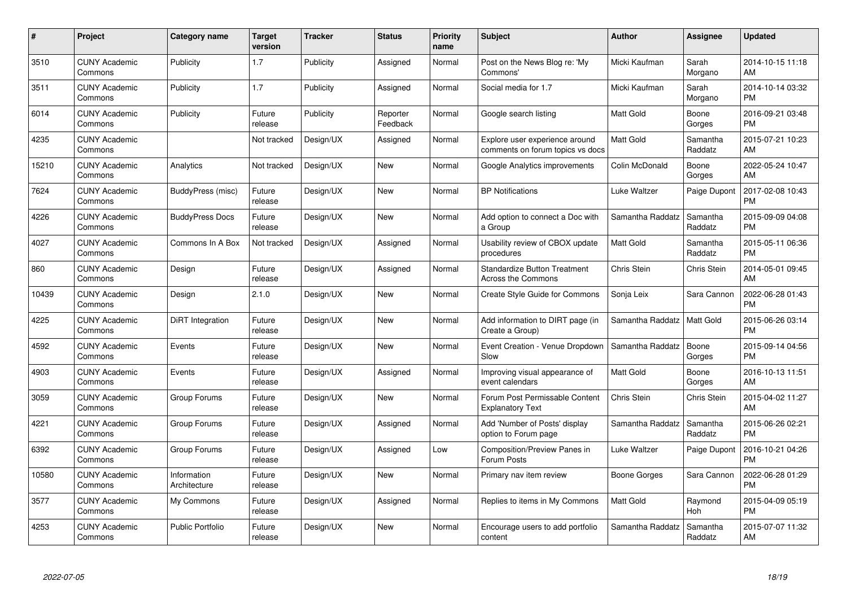| $\#$  | Project                         | <b>Category name</b>        | <b>Target</b><br>version | <b>Tracker</b> | <b>Status</b>        | <b>Priority</b><br>name | <b>Subject</b>                                                     | <b>Author</b>    | Assignee            | <b>Updated</b>                |
|-------|---------------------------------|-----------------------------|--------------------------|----------------|----------------------|-------------------------|--------------------------------------------------------------------|------------------|---------------------|-------------------------------|
| 3510  | <b>CUNY Academic</b><br>Commons | Publicity                   | 1.7                      | Publicity      | Assigned             | Normal                  | Post on the News Blog re: 'My<br>Commons'                          | Micki Kaufman    | Sarah<br>Morgano    | 2014-10-15 11:18<br>AM        |
| 3511  | <b>CUNY Academic</b><br>Commons | Publicity                   | 1.7                      | Publicity      | Assigned             | Normal                  | Social media for 1.7                                               | Micki Kaufman    | Sarah<br>Morgano    | 2014-10-14 03:32<br><b>PM</b> |
| 6014  | <b>CUNY Academic</b><br>Commons | Publicity                   | Future<br>release        | Publicity      | Reporter<br>Feedback | Normal                  | Google search listing                                              | Matt Gold        | Boone<br>Gorges     | 2016-09-21 03:48<br><b>PM</b> |
| 4235  | <b>CUNY Academic</b><br>Commons |                             | Not tracked              | Design/UX      | Assigned             | Normal                  | Explore user experience around<br>comments on forum topics vs docs | Matt Gold        | Samantha<br>Raddatz | 2015-07-21 10:23<br>AM        |
| 15210 | <b>CUNY Academic</b><br>Commons | Analytics                   | Not tracked              | Design/UX      | <b>New</b>           | Normal                  | Google Analytics improvements                                      | Colin McDonald   | Boone<br>Gorges     | 2022-05-24 10:47<br>AM        |
| 7624  | <b>CUNY Academic</b><br>Commons | BuddyPress (misc)           | Future<br>release        | Design/UX      | <b>New</b>           | Normal                  | <b>BP Notifications</b>                                            | Luke Waltzer     | Paige Dupont        | 2017-02-08 10:43<br><b>PM</b> |
| 4226  | <b>CUNY Academic</b><br>Commons | <b>BuddyPress Docs</b>      | Future<br>release        | Design/UX      | New                  | Normal                  | Add option to connect a Doc with<br>a Group                        | Samantha Raddatz | Samantha<br>Raddatz | 2015-09-09 04:08<br><b>PM</b> |
| 4027  | <b>CUNY Academic</b><br>Commons | Commons In A Box            | Not tracked              | Design/UX      | Assigned             | Normal                  | Usability review of CBOX update<br>procedures                      | Matt Gold        | Samantha<br>Raddatz | 2015-05-11 06:36<br><b>PM</b> |
| 860   | <b>CUNY Academic</b><br>Commons | Design                      | Future<br>release        | Design/UX      | Assigned             | Normal                  | <b>Standardize Button Treatment</b><br><b>Across the Commons</b>   | Chris Stein      | <b>Chris Stein</b>  | 2014-05-01 09:45<br>AM        |
| 10439 | <b>CUNY Academic</b><br>Commons | Design                      | 2.1.0                    | Design/UX      | <b>New</b>           | Normal                  | Create Style Guide for Commons                                     | Sonja Leix       | Sara Cannon         | 2022-06-28 01:43<br><b>PM</b> |
| 4225  | <b>CUNY Academic</b><br>Commons | DiRT Integration            | Future<br>release        | Design/UX      | New                  | Normal                  | Add information to DIRT page (in<br>Create a Group)                | Samantha Raddatz | Matt Gold           | 2015-06-26 03:14<br><b>PM</b> |
| 4592  | <b>CUNY Academic</b><br>Commons | Events                      | Future<br>release        | Design/UX      | <b>New</b>           | Normal                  | Event Creation - Venue Dropdown<br>Slow                            | Samantha Raddatz | Boone<br>Gorges     | 2015-09-14 04:56<br><b>PM</b> |
| 4903  | <b>CUNY Academic</b><br>Commons | Events                      | Future<br>release        | Design/UX      | Assigned             | Normal                  | Improving visual appearance of<br>event calendars                  | <b>Matt Gold</b> | Boone<br>Gorges     | 2016-10-13 11:51<br>AM        |
| 3059  | <b>CUNY Academic</b><br>Commons | Group Forums                | Future<br>release        | Design/UX      | New                  | Normal                  | Forum Post Permissable Content<br><b>Explanatory Text</b>          | Chris Stein      | Chris Stein         | 2015-04-02 11:27<br>AM        |
| 4221  | <b>CUNY Academic</b><br>Commons | Group Forums                | Future<br>release        | Design/UX      | Assigned             | Normal                  | Add 'Number of Posts' display<br>option to Forum page              | Samantha Raddatz | Samantha<br>Raddatz | 2015-06-26 02:21<br><b>PM</b> |
| 6392  | <b>CUNY Academic</b><br>Commons | Group Forums                | Future<br>release        | Design/UX      | Assigned             | Low                     | <b>Composition/Preview Panes in</b><br>Forum Posts                 | Luke Waltzer     | Paige Dupont        | 2016-10-21 04:26<br><b>PM</b> |
| 10580 | <b>CUNY Academic</b><br>Commons | Information<br>Architecture | Future<br>release        | Design/UX      | New                  | Normal                  | Primary nav item review                                            | Boone Gorges     | Sara Cannon         | 2022-06-28 01:29<br><b>PM</b> |
| 3577  | <b>CUNY Academic</b><br>Commons | My Commons                  | Future<br>release        | Design/UX      | Assigned             | Normal                  | Replies to items in My Commons                                     | Matt Gold        | Raymond<br>Hoh      | 2015-04-09 05:19<br><b>PM</b> |
| 4253  | <b>CUNY Academic</b><br>Commons | <b>Public Portfolio</b>     | Future<br>release        | Design/UX      | <b>New</b>           | Normal                  | Encourage users to add portfolio<br>content                        | Samantha Raddatz | Samantha<br>Raddatz | 2015-07-07 11:32<br>AM        |